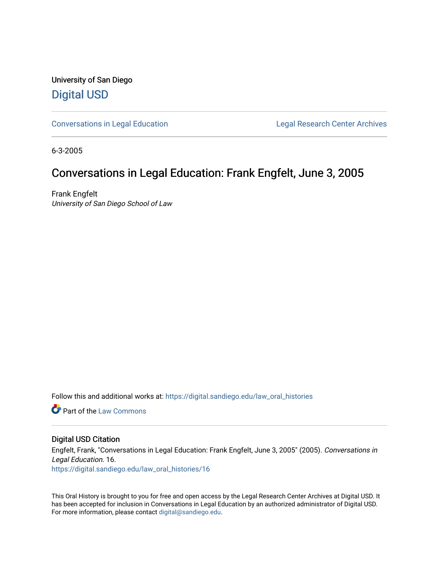University of San Diego [Digital USD](https://digital.sandiego.edu/)

[Conversations in Legal Education](https://digital.sandiego.edu/law_oral_histories) **Legal Research Center Archives** 

6-3-2005

## Conversations in Legal Education: Frank Engfelt, June 3, 2005

Frank Engfelt University of San Diego School of Law

Follow this and additional works at: [https://digital.sandiego.edu/law\\_oral\\_histories](https://digital.sandiego.edu/law_oral_histories?utm_source=digital.sandiego.edu%2Flaw_oral_histories%2F16&utm_medium=PDF&utm_campaign=PDFCoverPages) 

**C** Part of the [Law Commons](http://network.bepress.com/hgg/discipline/578?utm_source=digital.sandiego.edu%2Flaw_oral_histories%2F16&utm_medium=PDF&utm_campaign=PDFCoverPages)

#### Digital USD Citation

Engfelt, Frank, "Conversations in Legal Education: Frank Engfelt, June 3, 2005" (2005). Conversations in Legal Education. 16. [https://digital.sandiego.edu/law\\_oral\\_histories/16](https://digital.sandiego.edu/law_oral_histories/16?utm_source=digital.sandiego.edu%2Flaw_oral_histories%2F16&utm_medium=PDF&utm_campaign=PDFCoverPages) 

This Oral History is brought to you for free and open access by the Legal Research Center Archives at Digital USD. It has been accepted for inclusion in Conversations in Legal Education by an authorized administrator of Digital USD. For more information, please contact [digital@sandiego.edu](mailto:digital@sandiego.edu).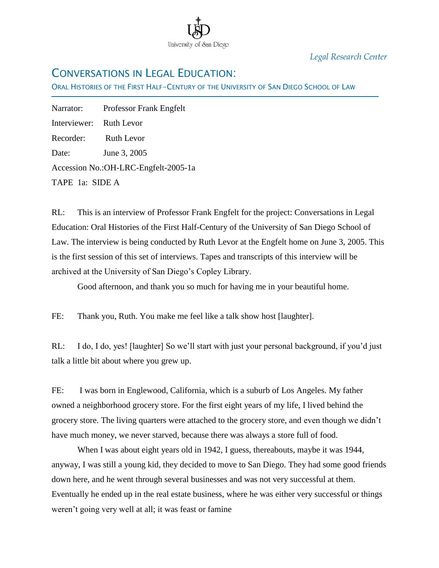

*Legal Research Center*

# CONVERSATIONS IN LEGAL EDUCATION:

ORAL HISTORIES OF THE FIRST HALF-CENTURY OF THE UNIVERSITY OF SAN DIEGO SCHOOL OF LAW

Narrator: Professor Frank Engfelt Interviewer: Ruth Levor Recorder: Ruth Levor Date: June 3, 2005 Accession No.:OH-LRC-Engfelt-2005-1a TAPE 1a: SIDE A

Ī

RL: This is an interview of Professor Frank Engfelt for the project: Conversations in Legal Education: Oral Histories of the First Half-Century of the University of San Diego School of Law. The interview is being conducted by Ruth Levor at the Engfelt home on June 3, 2005. This is the first session of this set of interviews. Tapes and transcripts of this interview will be archived at the University of San Diego"s Copley Library.

Good afternoon, and thank you so much for having me in your beautiful home.

FE: Thank you, Ruth. You make me feel like a talk show host [laughter].

RL: I do, I do, yes! [laughter] So we"ll start with just your personal background, if you"d just talk a little bit about where you grew up.

FE: I was born in Englewood, California, which is a suburb of Los Angeles. My father owned a neighborhood grocery store. For the first eight years of my life, I lived behind the grocery store. The living quarters were attached to the grocery store, and even though we didn"t have much money, we never starved, because there was always a store full of food.

When I was about eight years old in 1942, I guess, thereabouts, maybe it was 1944, anyway, I was still a young kid, they decided to move to San Diego. They had some good friends down here, and he went through several businesses and was not very successful at them. Eventually he ended up in the real estate business, where he was either very successful or things weren"t going very well at all; it was feast or famine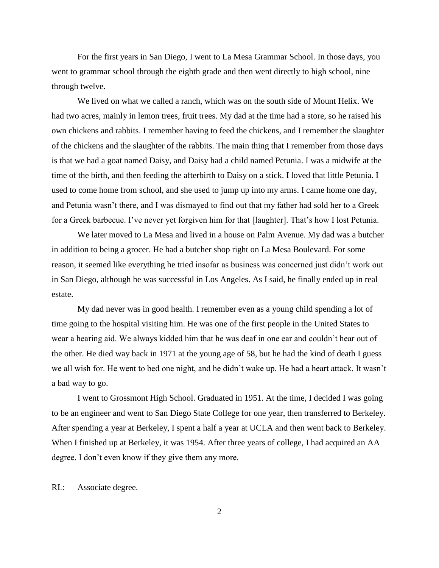For the first years in San Diego, I went to La Mesa Grammar School. In those days, you went to grammar school through the eighth grade and then went directly to high school, nine through twelve.

We lived on what we called a ranch, which was on the south side of Mount Helix. We had two acres, mainly in lemon trees, fruit trees. My dad at the time had a store, so he raised his own chickens and rabbits. I remember having to feed the chickens, and I remember the slaughter of the chickens and the slaughter of the rabbits. The main thing that I remember from those days is that we had a goat named Daisy, and Daisy had a child named Petunia. I was a midwife at the time of the birth, and then feeding the afterbirth to Daisy on a stick. I loved that little Petunia. I used to come home from school, and she used to jump up into my arms. I came home one day, and Petunia wasn"t there, and I was dismayed to find out that my father had sold her to a Greek for a Greek barbecue. I"ve never yet forgiven him for that [laughter]. That"s how I lost Petunia.

We later moved to La Mesa and lived in a house on Palm Avenue. My dad was a butcher in addition to being a grocer. He had a butcher shop right on La Mesa Boulevard. For some reason, it seemed like everything he tried insofar as business was concerned just didn"t work out in San Diego, although he was successful in Los Angeles. As I said, he finally ended up in real estate.

My dad never was in good health. I remember even as a young child spending a lot of time going to the hospital visiting him. He was one of the first people in the United States to wear a hearing aid. We always kidded him that he was deaf in one ear and couldn"t hear out of the other. He died way back in 1971 at the young age of 58, but he had the kind of death I guess we all wish for. He went to bed one night, and he didn"t wake up. He had a heart attack. It wasn"t a bad way to go.

I went to Grossmont High School. Graduated in 1951. At the time, I decided I was going to be an engineer and went to San Diego State College for one year, then transferred to Berkeley. After spending a year at Berkeley, I spent a half a year at UCLA and then went back to Berkeley. When I finished up at Berkeley, it was 1954. After three years of college, I had acquired an AA degree. I don"t even know if they give them any more.

RL: Associate degree.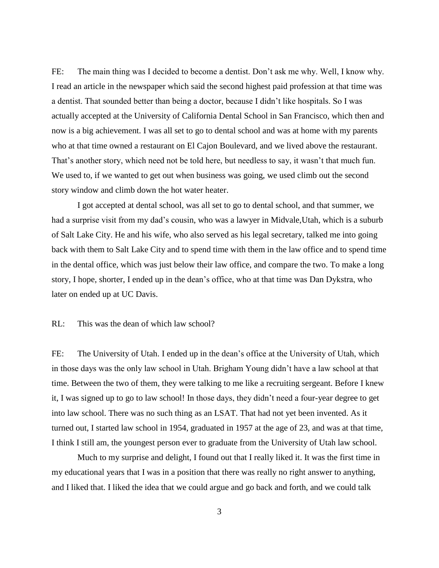FE: The main thing was I decided to become a dentist. Don't ask me why. Well, I know why. I read an article in the newspaper which said the second highest paid profession at that time was a dentist. That sounded better than being a doctor, because I didn"t like hospitals. So I was actually accepted at the University of California Dental School in San Francisco, which then and now is a big achievement. I was all set to go to dental school and was at home with my parents who at that time owned a restaurant on El Cajon Boulevard, and we lived above the restaurant. That's another story, which need not be told here, but needless to say, it wasn't that much fun. We used to, if we wanted to get out when business was going, we used climb out the second story window and climb down the hot water heater.

I got accepted at dental school, was all set to go to dental school, and that summer, we had a surprise visit from my dad's cousin, who was a lawyer in Midvale, Utah, which is a suburb of Salt Lake City. He and his wife, who also served as his legal secretary, talked me into going back with them to Salt Lake City and to spend time with them in the law office and to spend time in the dental office, which was just below their law office, and compare the two. To make a long story, I hope, shorter, I ended up in the dean"s office, who at that time was Dan Dykstra, who later on ended up at UC Davis.

### RL: This was the dean of which law school?

FE: The University of Utah. I ended up in the dean"s office at the University of Utah, which in those days was the only law school in Utah. Brigham Young didn"t have a law school at that time. Between the two of them, they were talking to me like a recruiting sergeant. Before I knew it, I was signed up to go to law school! In those days, they didn"t need a four-year degree to get into law school. There was no such thing as an LSAT. That had not yet been invented. As it turned out, I started law school in 1954, graduated in 1957 at the age of 23, and was at that time, I think I still am, the youngest person ever to graduate from the University of Utah law school.

Much to my surprise and delight, I found out that I really liked it. It was the first time in my educational years that I was in a position that there was really no right answer to anything, and I liked that. I liked the idea that we could argue and go back and forth, and we could talk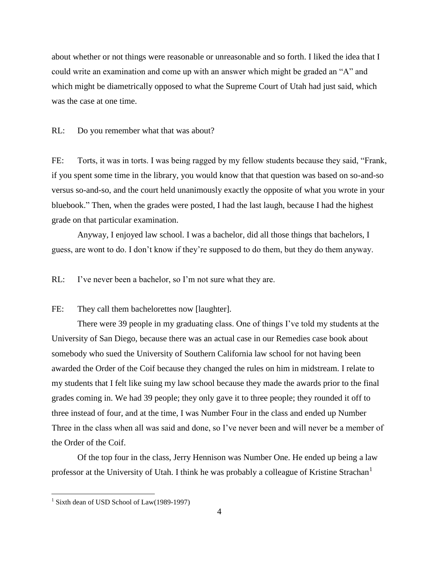about whether or not things were reasonable or unreasonable and so forth. I liked the idea that I could write an examination and come up with an answer which might be graded an "A" and which might be diametrically opposed to what the Supreme Court of Utah had just said, which was the case at one time.

RL: Do you remember what that was about?

FE: Torts, it was in torts. I was being ragged by my fellow students because they said, "Frank, if you spent some time in the library, you would know that that question was based on so-and-so versus so-and-so, and the court held unanimously exactly the opposite of what you wrote in your bluebook." Then, when the grades were posted, I had the last laugh, because I had the highest grade on that particular examination.

Anyway, I enjoyed law school. I was a bachelor, did all those things that bachelors, I guess, are wont to do. I don"t know if they"re supposed to do them, but they do them anyway.

RL: I've never been a bachelor, so I'm not sure what they are.

FE: They call them bachelorettes now [laughter].

There were 39 people in my graduating class. One of things I've told my students at the University of San Diego, because there was an actual case in our Remedies case book about somebody who sued the University of Southern California law school for not having been awarded the Order of the Coif because they changed the rules on him in midstream. I relate to my students that I felt like suing my law school because they made the awards prior to the final grades coming in. We had 39 people; they only gave it to three people; they rounded it off to three instead of four, and at the time, I was Number Four in the class and ended up Number Three in the class when all was said and done, so I"ve never been and will never be a member of the Order of the Coif.

Of the top four in the class, Jerry Hennison was Number One. He ended up being a law professor at the University of Utah. I think he was probably a colleague of Kristine Strachan<sup>1</sup>

 1 Sixth dean of USD School of Law(1989-1997)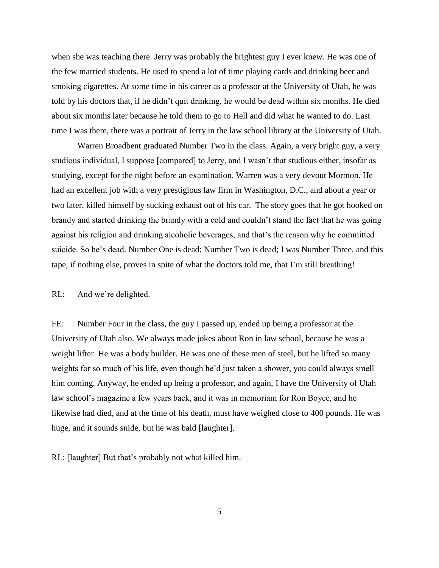when she was teaching there. Jerry was probably the brightest guy I ever knew. He was one of the few married students. He used to spend a lot of time playing cards and drinking beer and smoking cigarettes. At some time in his career as a professor at the University of Utah, he was told by his doctors that, if he didn"t quit drinking, he would be dead within six months. He died about six months later because he told them to go to Hell and did what he wanted to do. Last time I was there, there was a portrait of Jerry in the law school library at the University of Utah.

Warren Broadbent graduated Number Two in the class. Again, a very bright guy, a very studious individual, I suppose [compared] to Jerry, and I wasn"t that studious either, insofar as studying, except for the night before an examination. Warren was a very devout Mormon. He had an excellent job with a very prestigious law firm in Washington, D.C., and about a year or two later, killed himself by sucking exhaust out of his car. The story goes that he got hooked on brandy and started drinking the brandy with a cold and couldn"t stand the fact that he was going against his religion and drinking alcoholic beverages, and that"s the reason why he committed suicide. So he"s dead. Number One is dead; Number Two is dead; I was Number Three, and this tape, if nothing else, proves in spite of what the doctors told me, that I"m still breathing!

#### RL: And we're delighted.

FE: Number Four in the class, the guy I passed up, ended up being a professor at the University of Utah also. We always made jokes about Ron in law school, because he was a weight lifter. He was a body builder. He was one of these men of steel, but he lifted so many weights for so much of his life, even though he'd just taken a shower, you could always smell him coming. Anyway, he ended up being a professor, and again, I have the University of Utah law school"s magazine a few years back, and it was in memoriam for Ron Boyce, and he likewise had died, and at the time of his death, must have weighed close to 400 pounds. He was huge, and it sounds snide, but he was bald [laughter].

RL: [laughter] But that"s probably not what killed him.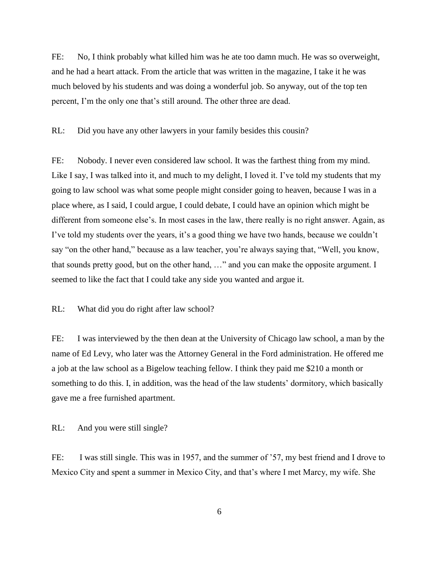FE: No, I think probably what killed him was he ate too damn much. He was so overweight, and he had a heart attack. From the article that was written in the magazine, I take it he was much beloved by his students and was doing a wonderful job. So anyway, out of the top ten percent, I"m the only one that"s still around. The other three are dead.

RL: Did you have any other lawyers in your family besides this cousin?

FE: Nobody. I never even considered law school. It was the farthest thing from my mind. Like I say, I was talked into it, and much to my delight, I loved it. I've told my students that my going to law school was what some people might consider going to heaven, because I was in a place where, as I said, I could argue, I could debate, I could have an opinion which might be different from someone else"s. In most cases in the law, there really is no right answer. Again, as I've told my students over the years, it's a good thing we have two hands, because we couldn't say "on the other hand," because as a law teacher, you"re always saying that, "Well, you know, that sounds pretty good, but on the other hand, …" and you can make the opposite argument. I seemed to like the fact that I could take any side you wanted and argue it.

RL: What did you do right after law school?

FE: I was interviewed by the then dean at the University of Chicago law school, a man by the name of Ed Levy, who later was the Attorney General in the Ford administration. He offered me a job at the law school as a Bigelow teaching fellow. I think they paid me \$210 a month or something to do this. I, in addition, was the head of the law students' dormitory, which basically gave me a free furnished apartment.

RL: And you were still single?

FE: I was still single. This was in 1957, and the summer of '57, my best friend and I drove to Mexico City and spent a summer in Mexico City, and that"s where I met Marcy, my wife. She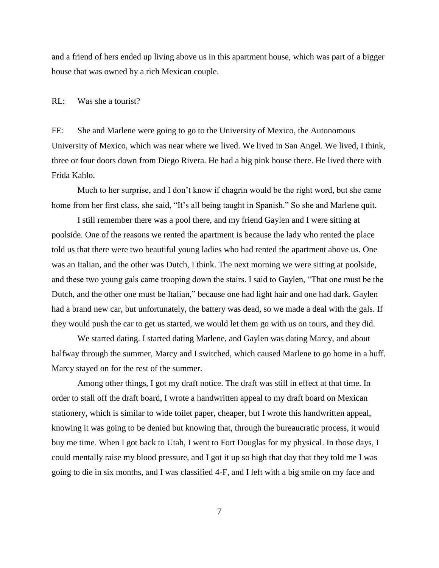and a friend of hers ended up living above us in this apartment house, which was part of a bigger house that was owned by a rich Mexican couple.

#### RL: Was she a tourist?

FE: She and Marlene were going to go to the University of Mexico, the Autonomous University of Mexico, which was near where we lived. We lived in San Angel. We lived, I think, three or four doors down from Diego Rivera. He had a big pink house there. He lived there with Frida Kahlo.

Much to her surprise, and I don"t know if chagrin would be the right word, but she came home from her first class, she said, "It's all being taught in Spanish." So she and Marlene quit.

I still remember there was a pool there, and my friend Gaylen and I were sitting at poolside. One of the reasons we rented the apartment is because the lady who rented the place told us that there were two beautiful young ladies who had rented the apartment above us. One was an Italian, and the other was Dutch, I think. The next morning we were sitting at poolside, and these two young gals came trooping down the stairs. I said to Gaylen, "That one must be the Dutch, and the other one must be Italian," because one had light hair and one had dark. Gaylen had a brand new car, but unfortunately, the battery was dead, so we made a deal with the gals. If they would push the car to get us started, we would let them go with us on tours, and they did.

We started dating. I started dating Marlene, and Gaylen was dating Marcy, and about halfway through the summer, Marcy and I switched, which caused Marlene to go home in a huff. Marcy stayed on for the rest of the summer.

Among other things, I got my draft notice. The draft was still in effect at that time. In order to stall off the draft board, I wrote a handwritten appeal to my draft board on Mexican stationery, which is similar to wide toilet paper, cheaper, but I wrote this handwritten appeal, knowing it was going to be denied but knowing that, through the bureaucratic process, it would buy me time. When I got back to Utah, I went to Fort Douglas for my physical. In those days, I could mentally raise my blood pressure, and I got it up so high that day that they told me I was going to die in six months, and I was classified 4-F, and I left with a big smile on my face and

7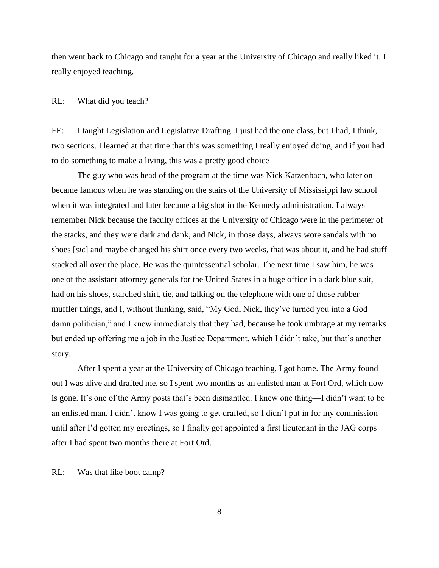then went back to Chicago and taught for a year at the University of Chicago and really liked it. I really enjoyed teaching.

#### RL: What did you teach?

FE: I taught Legislation and Legislative Drafting. I just had the one class, but I had, I think, two sections. I learned at that time that this was something I really enjoyed doing, and if you had to do something to make a living, this was a pretty good choice

The guy who was head of the program at the time was Nick Katzenbach, who later on became famous when he was standing on the stairs of the University of Mississippi law school when it was integrated and later became a big shot in the Kennedy administration. I always remember Nick because the faculty offices at the University of Chicago were in the perimeter of the stacks, and they were dark and dank, and Nick, in those days, always wore sandals with no shoes [*sic*] and maybe changed his shirt once every two weeks, that was about it, and he had stuff stacked all over the place. He was the quintessential scholar. The next time I saw him, he was one of the assistant attorney generals for the United States in a huge office in a dark blue suit, had on his shoes, starched shirt, tie, and talking on the telephone with one of those rubber muffler things, and I, without thinking, said, "My God, Nick, they"ve turned you into a God damn politician," and I knew immediately that they had, because he took umbrage at my remarks but ended up offering me a job in the Justice Department, which I didn"t take, but that"s another story.

After I spent a year at the University of Chicago teaching, I got home. The Army found out I was alive and drafted me, so I spent two months as an enlisted man at Fort Ord, which now is gone. It's one of the Army posts that's been dismantled. I knew one thing—I didn't want to be an enlisted man. I didn"t know I was going to get drafted, so I didn"t put in for my commission until after I"d gotten my greetings, so I finally got appointed a first lieutenant in the JAG corps after I had spent two months there at Fort Ord.

RL: Was that like boot camp?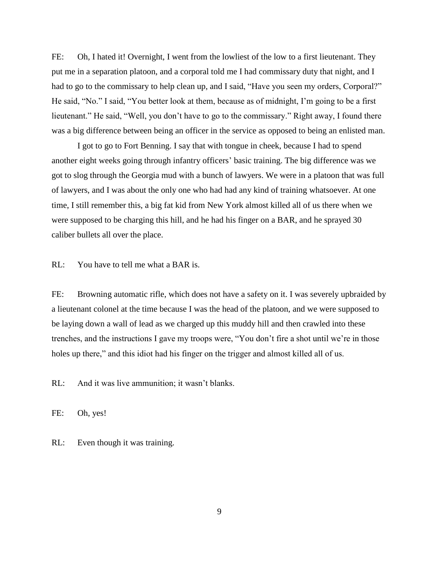FE: Oh, I hated it! Overnight, I went from the lowliest of the low to a first lieutenant. They put me in a separation platoon, and a corporal told me I had commissary duty that night, and I had to go to the commissary to help clean up, and I said, "Have you seen my orders, Corporal?" He said, "No." I said, "You better look at them, because as of midnight, I"m going to be a first lieutenant." He said, "Well, you don"t have to go to the commissary." Right away, I found there was a big difference between being an officer in the service as opposed to being an enlisted man.

I got to go to Fort Benning. I say that with tongue in cheek, because I had to spend another eight weeks going through infantry officers' basic training. The big difference was we got to slog through the Georgia mud with a bunch of lawyers. We were in a platoon that was full of lawyers, and I was about the only one who had had any kind of training whatsoever. At one time, I still remember this, a big fat kid from New York almost killed all of us there when we were supposed to be charging this hill, and he had his finger on a BAR, and he sprayed 30 caliber bullets all over the place.

RL: You have to tell me what a BAR is.

FE: Browning automatic rifle, which does not have a safety on it. I was severely upbraided by a lieutenant colonel at the time because I was the head of the platoon, and we were supposed to be laying down a wall of lead as we charged up this muddy hill and then crawled into these trenches, and the instructions I gave my troops were, "You don"t fire a shot until we"re in those holes up there," and this idiot had his finger on the trigger and almost killed all of us.

RL: And it was live ammunition; it wasn't blanks.

FE: Oh, yes!

RL: Even though it was training.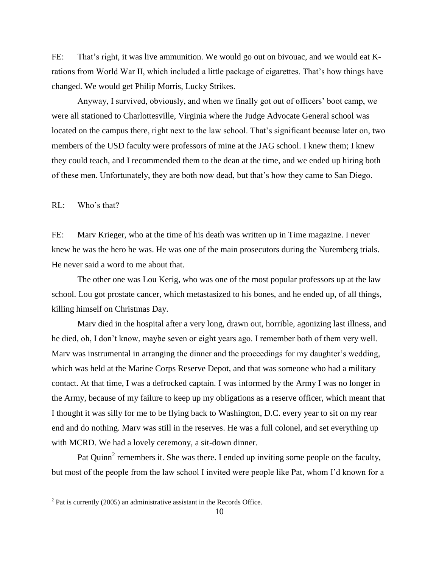FE: That"s right, it was live ammunition. We would go out on bivouac, and we would eat Krations from World War II, which included a little package of cigarettes. That"s how things have changed. We would get Philip Morris, Lucky Strikes.

Anyway, I survived, obviously, and when we finally got out of officers" boot camp, we were all stationed to Charlottesville, Virginia where the Judge Advocate General school was located on the campus there, right next to the law school. That"s significant because later on, two members of the USD faculty were professors of mine at the JAG school. I knew them; I knew they could teach, and I recommended them to the dean at the time, and we ended up hiring both of these men. Unfortunately, they are both now dead, but that"s how they came to San Diego.

RL: Who"s that?

FE: Marv Krieger, who at the time of his death was written up in Time magazine. I never knew he was the hero he was. He was one of the main prosecutors during the Nuremberg trials. He never said a word to me about that.

The other one was Lou Kerig, who was one of the most popular professors up at the law school. Lou got prostate cancer, which metastasized to his bones, and he ended up, of all things, killing himself on Christmas Day.

Marv died in the hospital after a very long, drawn out, horrible, agonizing last illness, and he died, oh, I don"t know, maybe seven or eight years ago. I remember both of them very well. Mary was instrumental in arranging the dinner and the proceedings for my daughter's wedding, which was held at the Marine Corps Reserve Depot, and that was someone who had a military contact. At that time, I was a defrocked captain. I was informed by the Army I was no longer in the Army, because of my failure to keep up my obligations as a reserve officer, which meant that I thought it was silly for me to be flying back to Washington, D.C. every year to sit on my rear end and do nothing. Marv was still in the reserves. He was a full colonel, and set everything up with MCRD. We had a lovely ceremony, a sit-down dinner.

Pat Quinn<sup>2</sup> remembers it. She was there. I ended up inviting some people on the faculty, but most of the people from the law school I invited were people like Pat, whom I"d known for a

<sup>&</sup>lt;sup>2</sup> Pat is currently (2005) an administrative assistant in the Records Office.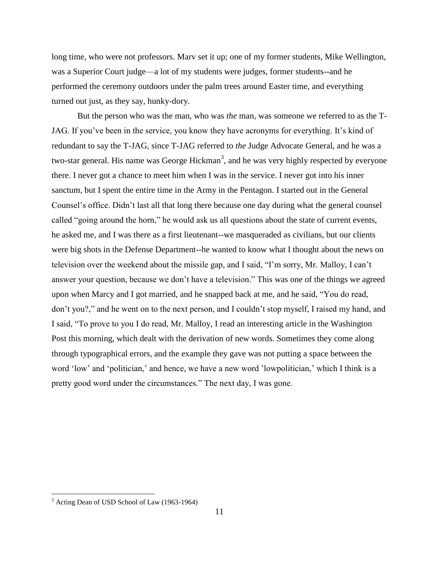long time, who were not professors. Marv set it up; one of my former students, Mike Wellington, was a Superior Court judge—a lot of my students were judges, former students--and he performed the ceremony outdoors under the palm trees around Easter time, and everything turned out just, as they say, hunky-dory.

But the person who was the man, who was *the* man, was someone we referred to as the T-JAG. If you've been in the service, you know they have acronyms for everything. It's kind of redundant to say the T-JAG, since T-JAG referred to *the* Judge Advocate General, and he was a two-star general. His name was George Hickman<sup>3</sup>, and he was very highly respected by everyone there. I never got a chance to meet him when I was in the service. I never got into his inner sanctum, but I spent the entire time in the Army in the Pentagon. I started out in the General Counsel"s office. Didn"t last all that long there because one day during what the general counsel called "going around the horn," he would ask us all questions about the state of current events, he asked me, and I was there as a first lieutenant--we masqueraded as civilians, but our clients were big shots in the Defense Department--he wanted to know what I thought about the news on television over the weekend about the missile gap, and I said, "I"m sorry, Mr. Malloy, I can"t answer your question, because we don"t have a television." This was one of the things we agreed upon when Marcy and I got married, and he snapped back at me, and he said, "You do read, don"t you?," and he went on to the next person, and I couldn"t stop myself, I raised my hand, and I said, "To prove to you I do read, Mr. Malloy, I read an interesting article in the Washington Post this morning, which dealt with the derivation of new words. Sometimes they come along through typographical errors, and the example they gave was not putting a space between the word 'low' and 'politician,' and hence, we have a new word 'lowpolitician,' which I think is a pretty good word under the circumstances." The next day, I was gone.

<sup>&</sup>lt;sup>3</sup> Acting Dean of USD School of Law (1963-1964)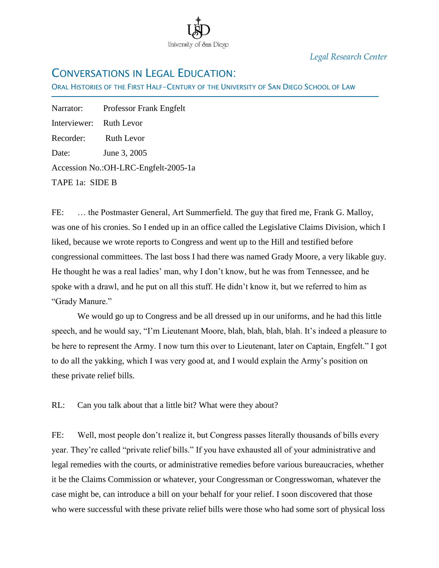

*Legal Research Center*

# CONVERSATIONS IN LEGAL EDUCATION:

ORAL HISTORIES OF THE FIRST HALF-CENTURY OF THE UNIVERSITY OF SAN DIEGO SCHOOL OF LAW

Narrator: Professor Frank Engfelt Interviewer: Ruth Levor Recorder: Ruth Levor Date: June 3, 2005 Accession No.:OH-LRC-Engfelt-2005-1a TAPE 1a: SIDE B

Ī

FE: ... the Postmaster General, Art Summerfield. The guy that fired me, Frank G. Malloy, was one of his cronies. So I ended up in an office called the Legislative Claims Division, which I liked, because we wrote reports to Congress and went up to the Hill and testified before congressional committees. The last boss I had there was named Grady Moore, a very likable guy. He thought he was a real ladies' man, why I don't know, but he was from Tennessee, and he spoke with a drawl, and he put on all this stuff. He didn't know it, but we referred to him as "Grady Manure."

We would go up to Congress and be all dressed up in our uniforms, and he had this little speech, and he would say, "I'm Lieutenant Moore, blah, blah, blah, blah. It's indeed a pleasure to be here to represent the Army. I now turn this over to Lieutenant, later on Captain, Engfelt." I got to do all the yakking, which I was very good at, and I would explain the Army's position on these private relief bills.

RL: Can you talk about that a little bit? What were they about?

FE: Well, most people don't realize it, but Congress passes literally thousands of bills every year. They're called "private relief bills." If you have exhausted all of your administrative and legal remedies with the courts, or administrative remedies before various bureaucracies, whether it be the Claims Commission or whatever, your Congressman or Congresswoman, whatever the case might be, can introduce a bill on your behalf for your relief. I soon discovered that those who were successful with these private relief bills were those who had some sort of physical loss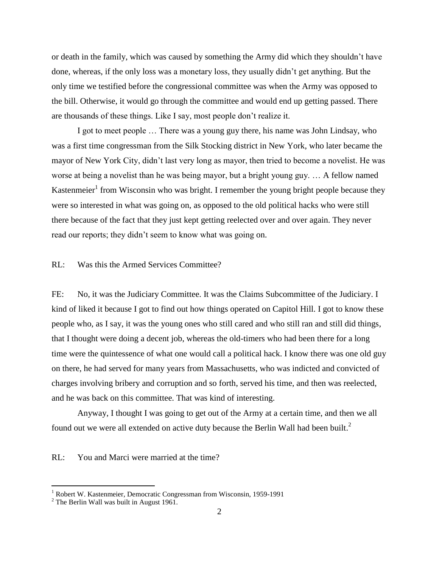or death in the family, which was caused by something the Army did which they shouldn't have done, whereas, if the only loss was a monetary loss, they usually didn't get anything. But the only time we testified before the congressional committee was when the Army was opposed to the bill. Otherwise, it would go through the committee and would end up getting passed. There are thousands of these things. Like I say, most people don't realize it.

I got to meet people … There was a young guy there, his name was John Lindsay, who was a first time congressman from the Silk Stocking district in New York, who later became the mayor of New York City, didn't last very long as mayor, then tried to become a novelist. He was worse at being a novelist than he was being mayor, but a bright young guy. … A fellow named Kastenmeier<sup>1</sup> from Wisconsin who was bright. I remember the young bright people because they were so interested in what was going on, as opposed to the old political hacks who were still there because of the fact that they just kept getting reelected over and over again. They never read our reports; they didn't seem to know what was going on.

### RL: Was this the Armed Services Committee?

FE: No, it was the Judiciary Committee. It was the Claims Subcommittee of the Judiciary. I kind of liked it because I got to find out how things operated on Capitol Hill. I got to know these people who, as I say, it was the young ones who still cared and who still ran and still did things, that I thought were doing a decent job, whereas the old-timers who had been there for a long time were the quintessence of what one would call a political hack. I know there was one old guy on there, he had served for many years from Massachusetts, who was indicted and convicted of charges involving bribery and corruption and so forth, served his time, and then was reelected, and he was back on this committee. That was kind of interesting.

Anyway, I thought I was going to get out of the Army at a certain time, and then we all found out we were all extended on active duty because the Berlin Wall had been built.<sup>2</sup>

RL: You and Marci were married at the time?

<sup>&</sup>lt;sup>1</sup> Robert W. Kastenmeier, Democratic Congressman from Wisconsin, 1959-1991

 $2$  The Berlin Wall was built in August 1961.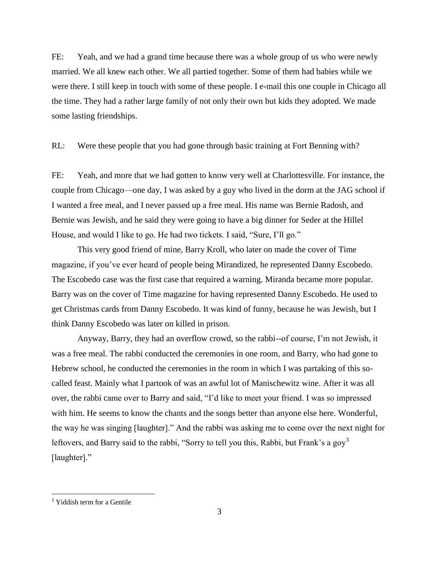FE: Yeah, and we had a grand time because there was a whole group of us who were newly married. We all knew each other. We all partied together. Some of them had babies while we were there. I still keep in touch with some of these people. I e-mail this one couple in Chicago all the time. They had a rather large family of not only their own but kids they adopted. We made some lasting friendships.

RL: Were these people that you had gone through basic training at Fort Benning with?

FE: Yeah, and more that we had gotten to know very well at Charlottesville. For instance, the couple from Chicago—one day, I was asked by a guy who lived in the dorm at the JAG school if I wanted a free meal, and I never passed up a free meal. His name was Bernie Radosh, and Bernie was Jewish, and he said they were going to have a big dinner for Seder at the Hillel House, and would I like to go. He had two tickets. I said, "Sure, I'll go."

This very good friend of mine, Barry Kroll, who later on made the cover of Time magazine, if you've ever heard of people being Mirandized, he represented Danny Escobedo. The Escobedo case was the first case that required a warning. Miranda became more popular. Barry was on the cover of Time magazine for having represented Danny Escobedo. He used to get Christmas cards from Danny Escobedo. It was kind of funny, because he was Jewish, but I think Danny Escobedo was later on killed in prison.

Anyway, Barry, they had an overflow crowd, so the rabbi--of course, I'm not Jewish, it was a free meal. The rabbi conducted the ceremonies in one room, and Barry, who had gone to Hebrew school, he conducted the ceremonies in the room in which I was partaking of this socalled feast. Mainly what I partook of was an awful lot of Manischewitz wine. After it was all over, the rabbi came over to Barry and said, "I'd like to meet your friend. I was so impressed with him. He seems to know the chants and the songs better than anyone else here. Wonderful, the way he was singing [laughter]." And the rabbi was asking me to come over the next night for leftovers, and Barry said to the rabbi, "Sorry to tell you this, Rabbi, but Frank's a gov<sup>3</sup> [laughter]."

<sup>&</sup>lt;sup>3</sup> Yiddish term for a Gentile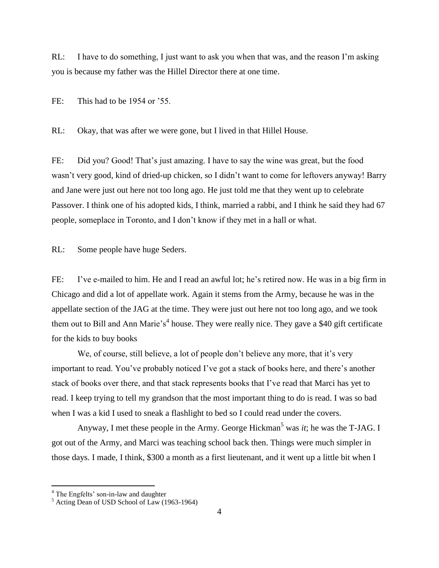RL: I have to do something, I just want to ask you when that was, and the reason I'm asking you is because my father was the Hillel Director there at one time.

FE: This had to be 1954 or '55.

RL: Okay, that was after we were gone, but I lived in that Hillel House.

FE: Did you? Good! That's just amazing. I have to say the wine was great, but the food wasn't very good, kind of dried-up chicken, so I didn't want to come for leftovers anyway! Barry and Jane were just out here not too long ago. He just told me that they went up to celebrate Passover. I think one of his adopted kids, I think, married a rabbi, and I think he said they had 67 people, someplace in Toronto, and I don't know if they met in a hall or what.

RL: Some people have huge Seders.

FE: I've e-mailed to him. He and I read an awful lot; he's retired now. He was in a big firm in Chicago and did a lot of appellate work. Again it stems from the Army, because he was in the appellate section of the JAG at the time. They were just out here not too long ago, and we took them out to Bill and Ann Marie's<sup>4</sup> house. They were really nice. They gave a \$40 gift certificate for the kids to buy books

We, of course, still believe, a lot of people don't believe any more, that it's very important to read. You've probably noticed I've got a stack of books here, and there's another stack of books over there, and that stack represents books that I've read that Marci has yet to read. I keep trying to tell my grandson that the most important thing to do is read. I was so bad when I was a kid I used to sneak a flashlight to bed so I could read under the covers.

Anyway, I met these people in the Army. George Hickman<sup>5</sup> was *it*; he was the T-JAG. I got out of the Army, and Marci was teaching school back then. Things were much simpler in those days. I made, I think, \$300 a month as a first lieutenant, and it went up a little bit when I

<sup>&</sup>lt;sup>4</sup> The Engfelts' son-in-law and daughter

<sup>5</sup> Acting Dean of USD School of Law (1963-1964)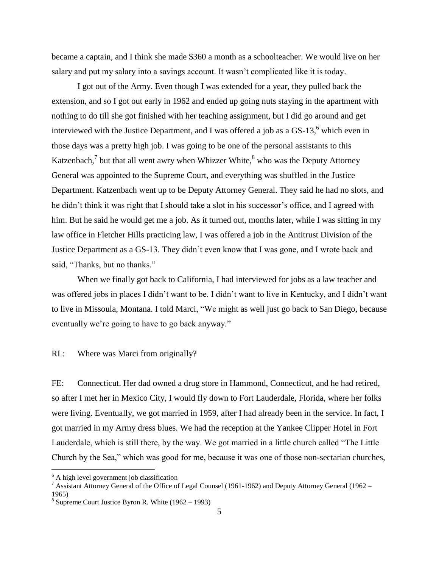became a captain, and I think she made \$360 a month as a schoolteacher. We would live on her salary and put my salary into a savings account. It wasn't complicated like it is today.

I got out of the Army. Even though I was extended for a year, they pulled back the extension, and so I got out early in 1962 and ended up going nuts staying in the apartment with nothing to do till she got finished with her teaching assignment, but I did go around and get interviewed with the Justice Department, and I was offered a job as a  $GS-13<sup>6</sup>$  which even in those days was a pretty high job. I was going to be one of the personal assistants to this Katzenbach,<sup>7</sup> but that all went awry when Whizzer White, $^8$  who was the Deputy Attorney General was appointed to the Supreme Court, and everything was shuffled in the Justice Department. Katzenbach went up to be Deputy Attorney General. They said he had no slots, and he didn't think it was right that I should take a slot in his successor's office, and I agreed with him. But he said he would get me a job. As it turned out, months later, while I was sitting in my law office in Fletcher Hills practicing law, I was offered a job in the Antitrust Division of the Justice Department as a GS-13. They didn't even know that I was gone, and I wrote back and said, "Thanks, but no thanks."

When we finally got back to California, I had interviewed for jobs as a law teacher and was offered jobs in places I didn't want to be. I didn't want to live in Kentucky, and I didn't want to live in Missoula, Montana. I told Marci, "We might as well just go back to San Diego, because eventually we're going to have to go back anyway."

RL: Where was Marci from originally?

FE: Connecticut. Her dad owned a drug store in Hammond, Connecticut, and he had retired, so after I met her in Mexico City, I would fly down to Fort Lauderdale, Florida, where her folks were living. Eventually, we got married in 1959, after I had already been in the service. In fact, I got married in my Army dress blues. We had the reception at the Yankee Clipper Hotel in Fort Lauderdale, which is still there, by the way. We got married in a little church called "The Little" Church by the Sea," which was good for me, because it was one of those non-sectarian churches,

 $<sup>6</sup>$  A high level government job classification</sup>

<sup>&</sup>lt;sup>7</sup> Assistant Attorney General of the Office of Legal Counsel (1961-1962) and Deputy Attorney General (1962 – 1965)

 $8$  Supreme Court Justice Byron R. White  $(1962 - 1993)$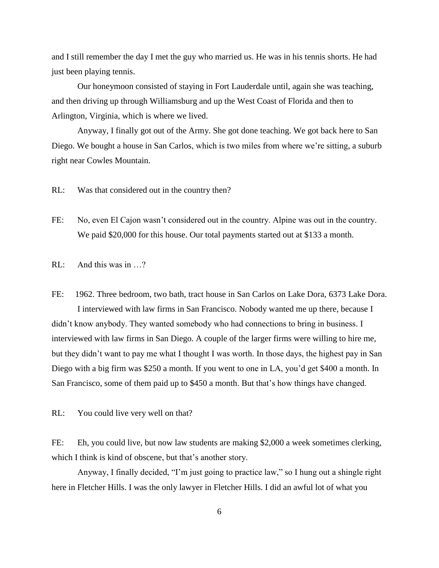and I still remember the day I met the guy who married us. He was in his tennis shorts. He had just been playing tennis.

Our honeymoon consisted of staying in Fort Lauderdale until, again she was teaching, and then driving up through Williamsburg and up the West Coast of Florida and then to Arlington, Virginia, which is where we lived.

Anyway, I finally got out of the Army. She got done teaching. We got back here to San Diego. We bought a house in San Carlos, which is two miles from where we're sitting, a suburb right near Cowles Mountain.

RL: Was that considered out in the country then?

FE: No, even El Cajon wasn't considered out in the country. Alpine was out in the country. We paid \$20,000 for this house. Our total payments started out at \$133 a month.

RL: And this was in …?

FE: 1962. Three bedroom, two bath, tract house in San Carlos on Lake Dora, 6373 Lake Dora. I interviewed with law firms in San Francisco. Nobody wanted me up there, because I didn't know anybody. They wanted somebody who had connections to bring in business. I interviewed with law firms in San Diego. A couple of the larger firms were willing to hire me, but they didn't want to pay me what I thought I was worth. In those days, the highest pay in San Diego with a big firm was \$250 a month. If you went to one in LA, you'd get \$400 a month. In San Francisco, some of them paid up to \$450 a month. But that's how things have changed.

RL: You could live very well on that?

FE: Eh, you could live, but now law students are making \$2,000 a week sometimes clerking, which I think is kind of obscene, but that's another story.

Anyway, I finally decided, "I'm just going to practice law," so I hung out a shingle right here in Fletcher Hills. I was the only lawyer in Fletcher Hills. I did an awful lot of what you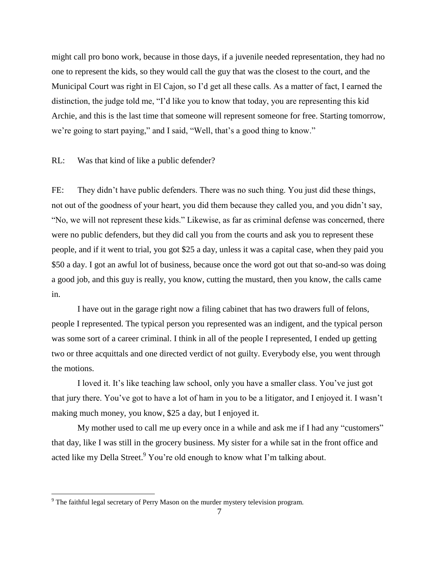might call pro bono work, because in those days, if a juvenile needed representation, they had no one to represent the kids, so they would call the guy that was the closest to the court, and the Municipal Court was right in El Cajon, so I'd get all these calls. As a matter of fact, I earned the distinction, the judge told me, "I'd like you to know that today, you are representing this kid Archie, and this is the last time that someone will represent someone for free. Starting tomorrow, we're going to start paying," and I said, "Well, that's a good thing to know."

RL: Was that kind of like a public defender?

FE: They didn't have public defenders. There was no such thing. You just did these things, not out of the goodness of your heart, you did them because they called you, and you didn't say, "No, we will not represent these kids." Likewise, as far as criminal defense was concerned, there were no public defenders, but they did call you from the courts and ask you to represent these people, and if it went to trial, you got \$25 a day, unless it was a capital case, when they paid you \$50 a day. I got an awful lot of business, because once the word got out that so-and-so was doing a good job, and this guy is really, you know, cutting the mustard, then you know, the calls came in.

I have out in the garage right now a filing cabinet that has two drawers full of felons, people I represented. The typical person you represented was an indigent, and the typical person was some sort of a career criminal. I think in all of the people I represented, I ended up getting two or three acquittals and one directed verdict of not guilty. Everybody else, you went through the motions.

I loved it. It's like teaching law school, only you have a smaller class. You've just got that jury there. You've got to have a lot of ham in you to be a litigator, and I enjoyed it. I wasn't making much money, you know, \$25 a day, but I enjoyed it.

My mother used to call me up every once in a while and ask me if I had any "customers" that day, like I was still in the grocery business. My sister for a while sat in the front office and acted like my Della Street.<sup>9</sup> You're old enough to know what I'm talking about.

 $9^9$  The faithful legal secretary of Perry Mason on the murder mystery television program.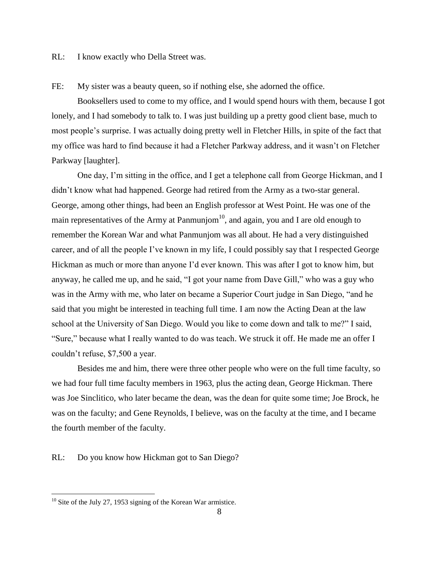RL: I know exactly who Della Street was.

FE: My sister was a beauty queen, so if nothing else, she adorned the office.

Booksellers used to come to my office, and I would spend hours with them, because I got lonely, and I had somebody to talk to. I was just building up a pretty good client base, much to most people's surprise. I was actually doing pretty well in Fletcher Hills, in spite of the fact that my office was hard to find because it had a Fletcher Parkway address, and it wasn't on Fletcher Parkway [laughter].

One day, I'm sitting in the office, and I get a telephone call from George Hickman, and I didn't know what had happened. George had retired from the Army as a two-star general. George, among other things, had been an English professor at West Point. He was one of the main representatives of the Army at Panmunjom $10$ , and again, you and I are old enough to remember the Korean War and what Panmunjom was all about. He had a very distinguished career, and of all the people I've known in my life, I could possibly say that I respected George Hickman as much or more than anyone I'd ever known. This was after I got to know him, but anyway, he called me up, and he said, "I got your name from Dave Gill," who was a guy who was in the Army with me, who later on became a Superior Court judge in San Diego, "and he said that you might be interested in teaching full time. I am now the Acting Dean at the law school at the University of San Diego. Would you like to come down and talk to me?" I said, "Sure," because what I really wanted to do was teach. We struck it off. He made me an offer I couldn't refuse, \$7,500 a year.

Besides me and him, there were three other people who were on the full time faculty, so we had four full time faculty members in 1963, plus the acting dean, George Hickman. There was Joe Sinclitico, who later became the dean, was the dean for quite some time; Joe Brock, he was on the faculty; and Gene Reynolds, I believe, was on the faculty at the time, and I became the fourth member of the faculty.

RL: Do you know how Hickman got to San Diego?

 $10$  Site of the July 27, 1953 signing of the Korean War armistice.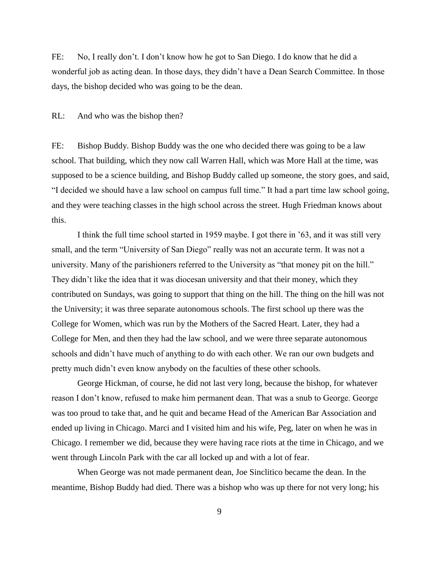FE: No, I really don't. I don't know how he got to San Diego. I do know that he did a wonderful job as acting dean. In those days, they didn't have a Dean Search Committee. In those days, the bishop decided who was going to be the dean.

RL: And who was the bishop then?

FE: Bishop Buddy. Bishop Buddy was the one who decided there was going to be a law school. That building, which they now call Warren Hall, which was More Hall at the time, was supposed to be a science building, and Bishop Buddy called up someone, the story goes, and said, "I decided we should have a law school on campus full time." It had a part time law school going, and they were teaching classes in the high school across the street. Hugh Friedman knows about this.

I think the full time school started in 1959 maybe. I got there in '63, and it was still very small, and the term "University of San Diego" really was not an accurate term. It was not a university. Many of the parishioners referred to the University as "that money pit on the hill." They didn't like the idea that it was diocesan university and that their money, which they contributed on Sundays, was going to support that thing on the hill. The thing on the hill was not the University; it was three separate autonomous schools. The first school up there was the College for Women, which was run by the Mothers of the Sacred Heart. Later, they had a College for Men, and then they had the law school, and we were three separate autonomous schools and didn't have much of anything to do with each other. We ran our own budgets and pretty much didn't even know anybody on the faculties of these other schools.

George Hickman, of course, he did not last very long, because the bishop, for whatever reason I don't know, refused to make him permanent dean. That was a snub to George. George was too proud to take that, and he quit and became Head of the American Bar Association and ended up living in Chicago. Marci and I visited him and his wife, Peg, later on when he was in Chicago. I remember we did, because they were having race riots at the time in Chicago, and we went through Lincoln Park with the car all locked up and with a lot of fear.

When George was not made permanent dean, Joe Sinclitico became the dean. In the meantime, Bishop Buddy had died. There was a bishop who was up there for not very long; his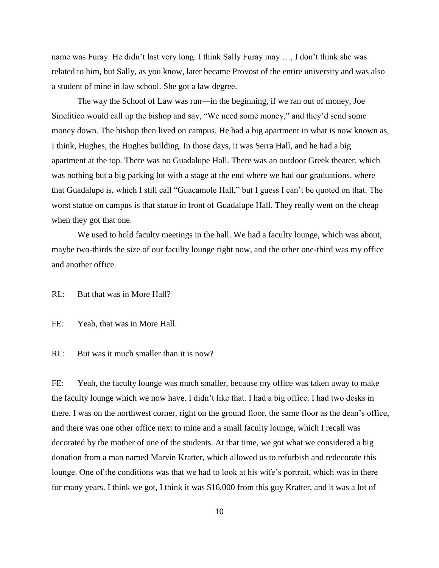name was Furay. He didn't last very long. I think Sally Furay may …, I don't think she was related to him, but Sally, as you know, later became Provost of the entire university and was also a student of mine in law school. She got a law degree.

The way the School of Law was run—in the beginning, if we ran out of money, Joe Sinclitico would call up the bishop and say, "We need some money," and they'd send some money down. The bishop then lived on campus. He had a big apartment in what is now known as, I think, Hughes, the Hughes building. In those days, it was Serra Hall, and he had a big apartment at the top. There was no Guadalupe Hall. There was an outdoor Greek theater, which was nothing but a big parking lot with a stage at the end where we had our graduations, where that Guadalupe is, which I still call "Guacamole Hall," but I guess I can't be quoted on that. The worst statue on campus is that statue in front of Guadalupe Hall. They really went on the cheap when they got that one.

We used to hold faculty meetings in the hall. We had a faculty lounge, which was about, maybe two-thirds the size of our faculty lounge right now, and the other one-third was my office and another office.

RL: But that was in More Hall?

FE: Yeah, that was in More Hall.

RL: But was it much smaller than it is now?

FE: Yeah, the faculty lounge was much smaller, because my office was taken away to make the faculty lounge which we now have. I didn't like that. I had a big office. I had two desks in there. I was on the northwest corner, right on the ground floor, the same floor as the dean's office, and there was one other office next to mine and a small faculty lounge, which I recall was decorated by the mother of one of the students. At that time, we got what we considered a big donation from a man named Marvin Kratter, which allowed us to refurbish and redecorate this lounge. One of the conditions was that we had to look at his wife's portrait, which was in there for many years. I think we got, I think it was \$16,000 from this guy Kratter, and it was a lot of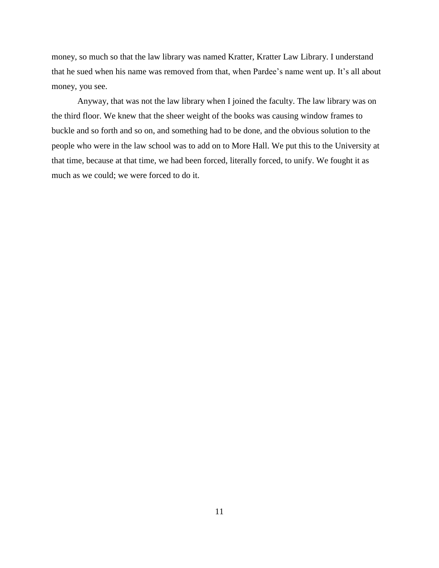money, so much so that the law library was named Kratter, Kratter Law Library. I understand that he sued when his name was removed from that, when Pardee's name went up. It's all about money, you see.

Anyway, that was not the law library when I joined the faculty. The law library was on the third floor. We knew that the sheer weight of the books was causing window frames to buckle and so forth and so on, and something had to be done, and the obvious solution to the people who were in the law school was to add on to More Hall. We put this to the University at that time, because at that time, we had been forced, literally forced, to unify. We fought it as much as we could; we were forced to do it.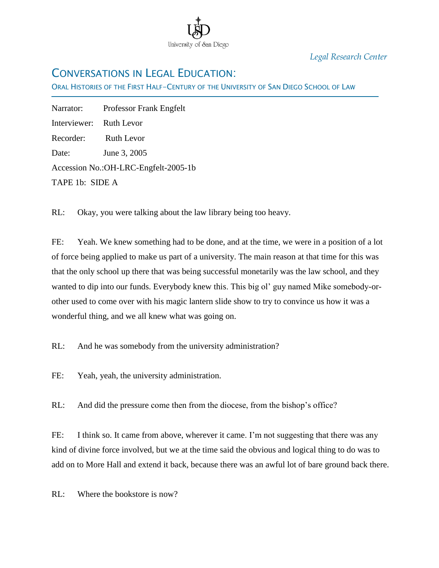

*Legal Research Center*

# CONVERSATIONS IN LEGAL EDUCATION:

ORAL HISTORIES OF THE FIRST HALF-CENTURY OF THE UNIVERSITY OF SAN DIEGO SCHOOL OF LAW

Ī Narrator: Professor Frank Engfelt Interviewer: Ruth Levor Recorder: Ruth Levor Date: June 3, 2005 Accession No.:OH-LRC-Engfelt-2005-1b TAPE 1b: SIDE A

RL: Okay, you were talking about the law library being too heavy.

FE: Yeah. We knew something had to be done, and at the time, we were in a position of a lot of force being applied to make us part of a university. The main reason at that time for this was that the only school up there that was being successful monetarily was the law school, and they wanted to dip into our funds. Everybody knew this. This big ol' guy named Mike somebody-orother used to come over with his magic lantern slide show to try to convince us how it was a wonderful thing, and we all knew what was going on.

RL: And he was somebody from the university administration?

FE: Yeah, yeah, the university administration.

RL: And did the pressure come then from the diocese, from the bishop's office?

FE: I think so. It came from above, wherever it came. I'm not suggesting that there was any kind of divine force involved, but we at the time said the obvious and logical thing to do was to add on to More Hall and extend it back, because there was an awful lot of bare ground back there.

RL: Where the bookstore is now?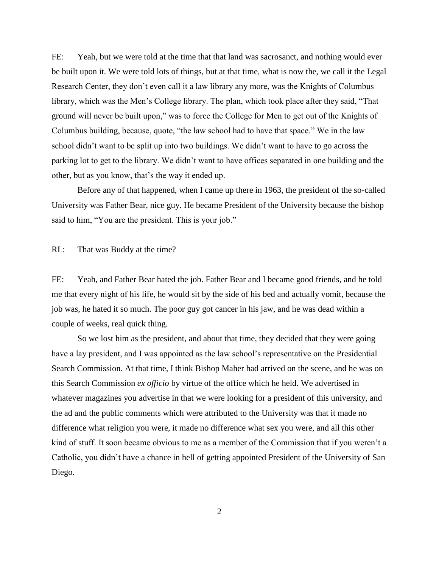FE: Yeah, but we were told at the time that that land was sacrosanct, and nothing would ever be built upon it. We were told lots of things, but at that time, what is now the, we call it the Legal Research Center, they don"t even call it a law library any more, was the Knights of Columbus library, which was the Men"s College library. The plan, which took place after they said, "That ground will never be built upon," was to force the College for Men to get out of the Knights of Columbus building, because, quote, "the law school had to have that space." We in the law school didn"t want to be split up into two buildings. We didn"t want to have to go across the parking lot to get to the library. We didn"t want to have offices separated in one building and the other, but as you know, that"s the way it ended up.

Before any of that happened, when I came up there in 1963, the president of the so-called University was Father Bear, nice guy. He became President of the University because the bishop said to him, "You are the president. This is your job."

RL: That was Buddy at the time?

FE: Yeah, and Father Bear hated the job. Father Bear and I became good friends, and he told me that every night of his life, he would sit by the side of his bed and actually vomit, because the job was, he hated it so much. The poor guy got cancer in his jaw, and he was dead within a couple of weeks, real quick thing.

So we lost him as the president, and about that time, they decided that they were going have a lay president, and I was appointed as the law school's representative on the Presidential Search Commission. At that time, I think Bishop Maher had arrived on the scene, and he was on this Search Commission *ex officio* by virtue of the office which he held. We advertised in whatever magazines you advertise in that we were looking for a president of this university, and the ad and the public comments which were attributed to the University was that it made no difference what religion you were, it made no difference what sex you were, and all this other kind of stuff. It soon became obvious to me as a member of the Commission that if you weren"t a Catholic, you didn"t have a chance in hell of getting appointed President of the University of San Diego.

2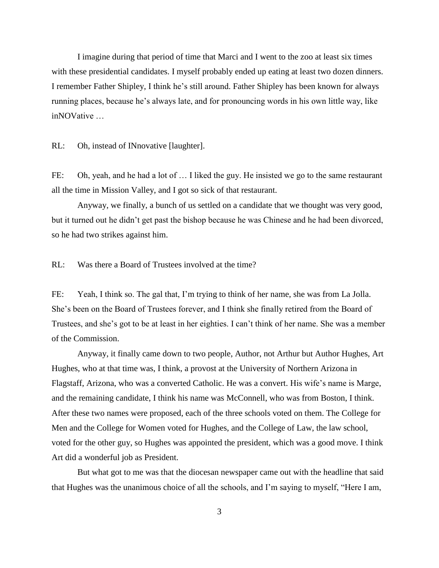I imagine during that period of time that Marci and I went to the zoo at least six times with these presidential candidates. I myself probably ended up eating at least two dozen dinners. I remember Father Shipley, I think he"s still around. Father Shipley has been known for always running places, because he"s always late, and for pronouncing words in his own little way, like inNOVative …

RL: Oh, instead of INnovative [laughter].

FE: Oh, yeah, and he had a lot of ... I liked the guy. He insisted we go to the same restaurant all the time in Mission Valley, and I got so sick of that restaurant.

Anyway, we finally, a bunch of us settled on a candidate that we thought was very good, but it turned out he didn"t get past the bishop because he was Chinese and he had been divorced, so he had two strikes against him.

RL: Was there a Board of Trustees involved at the time?

FE: Yeah, I think so. The gal that, I'm trying to think of her name, she was from La Jolla. She"s been on the Board of Trustees forever, and I think she finally retired from the Board of Trustees, and she"s got to be at least in her eighties. I can"t think of her name. She was a member of the Commission.

Anyway, it finally came down to two people, Author, not Arthur but Author Hughes, Art Hughes, who at that time was, I think, a provost at the University of Northern Arizona in Flagstaff, Arizona, who was a converted Catholic. He was a convert. His wife's name is Marge, and the remaining candidate, I think his name was McConnell, who was from Boston, I think. After these two names were proposed, each of the three schools voted on them. The College for Men and the College for Women voted for Hughes, and the College of Law, the law school, voted for the other guy, so Hughes was appointed the president, which was a good move. I think Art did a wonderful job as President.

But what got to me was that the diocesan newspaper came out with the headline that said that Hughes was the unanimous choice of all the schools, and I"m saying to myself, "Here I am,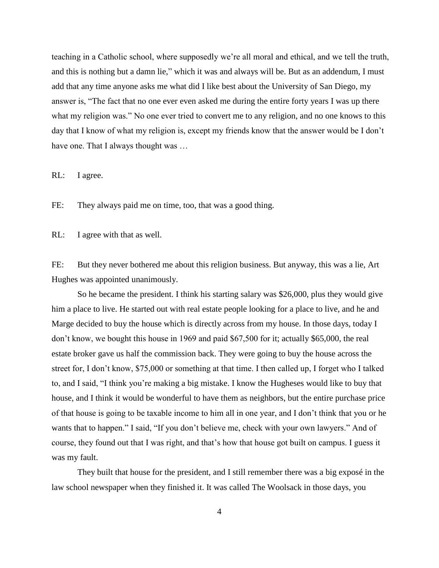teaching in a Catholic school, where supposedly we"re all moral and ethical, and we tell the truth, and this is nothing but a damn lie," which it was and always will be. But as an addendum, I must add that any time anyone asks me what did I like best about the University of San Diego, my answer is, "The fact that no one ever even asked me during the entire forty years I was up there what my religion was." No one ever tried to convert me to any religion, and no one knows to this day that I know of what my religion is, except my friends know that the answer would be I don"t have one. That I always thought was ...

RL: I agree.

FE: They always paid me on time, too, that was a good thing.

RL: I agree with that as well.

FE: But they never bothered me about this religion business. But anyway, this was a lie, Art Hughes was appointed unanimously.

So he became the president. I think his starting salary was \$26,000, plus they would give him a place to live. He started out with real estate people looking for a place to live, and he and Marge decided to buy the house which is directly across from my house. In those days, today I don"t know, we bought this house in 1969 and paid \$67,500 for it; actually \$65,000, the real estate broker gave us half the commission back. They were going to buy the house across the street for, I don't know, \$75,000 or something at that time. I then called up, I forget who I talked to, and I said, "I think you"re making a big mistake. I know the Hugheses would like to buy that house, and I think it would be wonderful to have them as neighbors, but the entire purchase price of that house is going to be taxable income to him all in one year, and I don"t think that you or he wants that to happen." I said, "If you don"t believe me, check with your own lawyers." And of course, they found out that I was right, and that"s how that house got built on campus. I guess it was my fault.

They built that house for the president, and I still remember there was a big exposé in the law school newspaper when they finished it. It was called The Woolsack in those days, you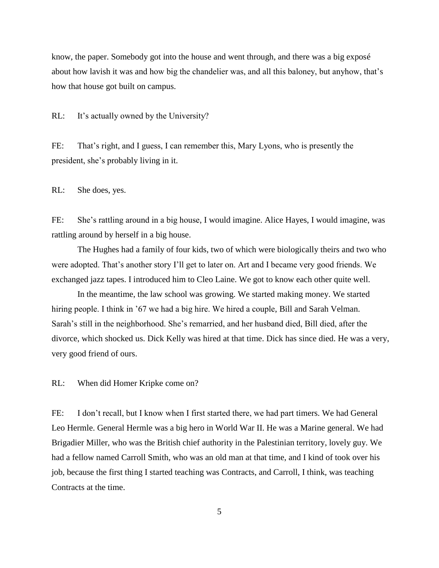know, the paper. Somebody got into the house and went through, and there was a big exposé about how lavish it was and how big the chandelier was, and all this baloney, but anyhow, that"s how that house got built on campus.

RL: It's actually owned by the University?

FE: That's right, and I guess, I can remember this, Mary Lyons, who is presently the president, she"s probably living in it.

RL: She does, yes.

FE: She's rattling around in a big house, I would imagine. Alice Hayes, I would imagine, was rattling around by herself in a big house.

The Hughes had a family of four kids, two of which were biologically theirs and two who were adopted. That"s another story I"ll get to later on. Art and I became very good friends. We exchanged jazz tapes. I introduced him to Cleo Laine. We got to know each other quite well.

In the meantime, the law school was growing. We started making money. We started hiring people. I think in '67 we had a big hire. We hired a couple, Bill and Sarah Velman. Sarah"s still in the neighborhood. She"s remarried, and her husband died, Bill died, after the divorce, which shocked us. Dick Kelly was hired at that time. Dick has since died. He was a very, very good friend of ours.

RL: When did Homer Kripke come on?

FE: I don't recall, but I know when I first started there, we had part timers. We had General Leo Hermle. General Hermle was a big hero in World War II. He was a Marine general. We had Brigadier Miller, who was the British chief authority in the Palestinian territory, lovely guy. We had a fellow named Carroll Smith, who was an old man at that time, and I kind of took over his job, because the first thing I started teaching was Contracts, and Carroll, I think, was teaching Contracts at the time.

5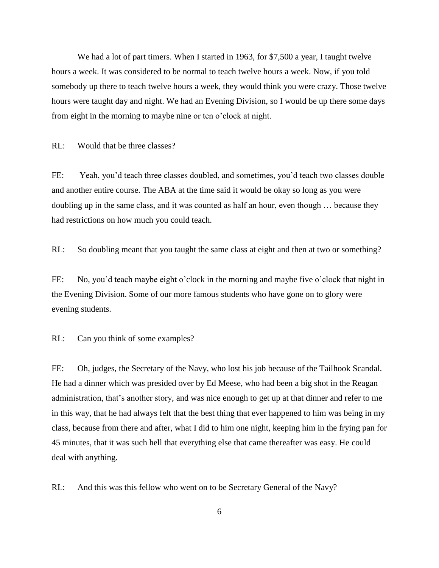We had a lot of part timers. When I started in 1963, for \$7,500 a year, I taught twelve hours a week. It was considered to be normal to teach twelve hours a week. Now, if you told somebody up there to teach twelve hours a week, they would think you were crazy. Those twelve hours were taught day and night. We had an Evening Division, so I would be up there some days from eight in the morning to maybe nine or ten o"clock at night.

RL: Would that be three classes?

FE: Yeah, you"d teach three classes doubled, and sometimes, you"d teach two classes double and another entire course. The ABA at the time said it would be okay so long as you were doubling up in the same class, and it was counted as half an hour, even though … because they had restrictions on how much you could teach.

RL: So doubling meant that you taught the same class at eight and then at two or something?

FE: No, you'd teach maybe eight o'clock in the morning and maybe five o'clock that night in the Evening Division. Some of our more famous students who have gone on to glory were evening students.

RL: Can you think of some examples?

FE: Oh, judges, the Secretary of the Navy, who lost his job because of the Tailhook Scandal. He had a dinner which was presided over by Ed Meese, who had been a big shot in the Reagan administration, that's another story, and was nice enough to get up at that dinner and refer to me in this way, that he had always felt that the best thing that ever happened to him was being in my class, because from there and after, what I did to him one night, keeping him in the frying pan for 45 minutes, that it was such hell that everything else that came thereafter was easy. He could deal with anything.

RL: And this was this fellow who went on to be Secretary General of the Navy?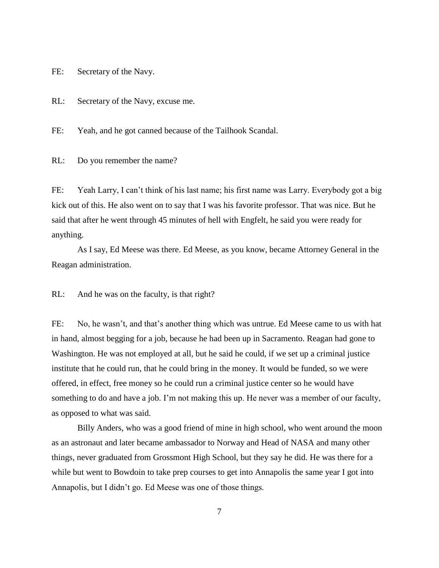FE: Secretary of the Navy.

RL: Secretary of the Navy, excuse me.

FE: Yeah, and he got canned because of the Tailhook Scandal.

RL: Do you remember the name?

FE: Yeah Larry, I can't think of his last name; his first name was Larry. Everybody got a big kick out of this. He also went on to say that I was his favorite professor. That was nice. But he said that after he went through 45 minutes of hell with Engfelt, he said you were ready for anything.

As I say, Ed Meese was there. Ed Meese, as you know, became Attorney General in the Reagan administration.

RL: And he was on the faculty, is that right?

FE: No, he wasn't, and that's another thing which was untrue. Ed Meese came to us with hat in hand, almost begging for a job, because he had been up in Sacramento. Reagan had gone to Washington. He was not employed at all, but he said he could, if we set up a criminal justice institute that he could run, that he could bring in the money. It would be funded, so we were offered, in effect, free money so he could run a criminal justice center so he would have something to do and have a job. I'm not making this up. He never was a member of our faculty, as opposed to what was said.

Billy Anders, who was a good friend of mine in high school, who went around the moon as an astronaut and later became ambassador to Norway and Head of NASA and many other things, never graduated from Grossmont High School, but they say he did. He was there for a while but went to Bowdoin to take prep courses to get into Annapolis the same year I got into Annapolis, but I didn"t go. Ed Meese was one of those things.

7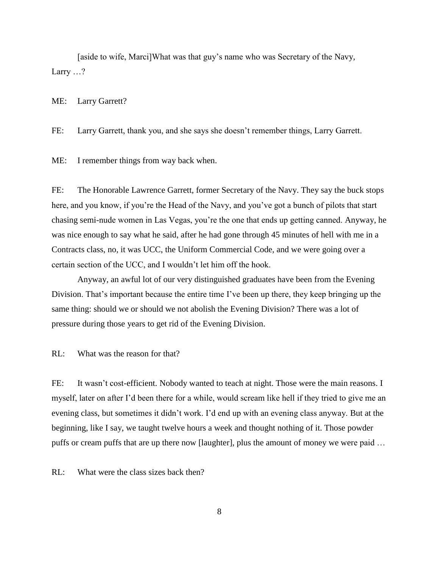[aside to wife, Marci]What was that guy"s name who was Secretary of the Navy, Larry ...?

ME: Larry Garrett?

FE: Larry Garrett, thank you, and she says she doesn"t remember things, Larry Garrett.

ME: I remember things from way back when.

FE: The Honorable Lawrence Garrett, former Secretary of the Navy. They say the buck stops here, and you know, if you're the Head of the Navy, and you've got a bunch of pilots that start chasing semi-nude women in Las Vegas, you"re the one that ends up getting canned. Anyway, he was nice enough to say what he said, after he had gone through 45 minutes of hell with me in a Contracts class, no, it was UCC, the Uniform Commercial Code, and we were going over a certain section of the UCC, and I wouldn"t let him off the hook.

Anyway, an awful lot of our very distinguished graduates have been from the Evening Division. That's important because the entire time I've been up there, they keep bringing up the same thing: should we or should we not abolish the Evening Division? There was a lot of pressure during those years to get rid of the Evening Division.

RL: What was the reason for that?

FE: It wasn't cost-efficient. Nobody wanted to teach at night. Those were the main reasons. I myself, later on after I"d been there for a while, would scream like hell if they tried to give me an evening class, but sometimes it didn"t work. I"d end up with an evening class anyway. But at the beginning, like I say, we taught twelve hours a week and thought nothing of it. Those powder puffs or cream puffs that are up there now [laughter], plus the amount of money we were paid …

RL: What were the class sizes back then?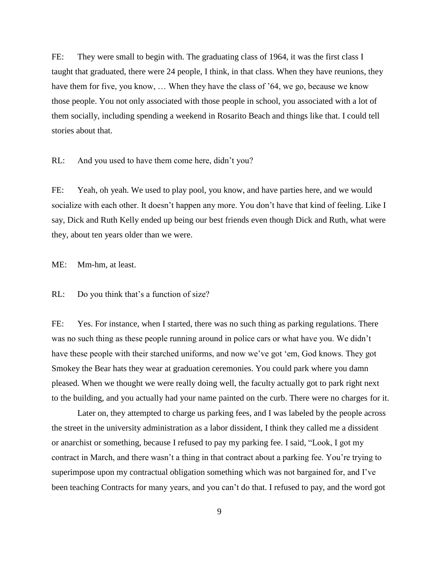FE: They were small to begin with. The graduating class of 1964, it was the first class I taught that graduated, there were 24 people, I think, in that class. When they have reunions, they have them for five, you know, ... When they have the class of '64, we go, because we know those people. You not only associated with those people in school, you associated with a lot of them socially, including spending a weekend in Rosarito Beach and things like that. I could tell stories about that.

RL: And you used to have them come here, didn"t you?

FE: Yeah, oh yeah. We used to play pool, you know, and have parties here, and we would socialize with each other. It doesn't happen any more. You don't have that kind of feeling. Like I say, Dick and Ruth Kelly ended up being our best friends even though Dick and Ruth, what were they, about ten years older than we were.

ME: Mm-hm, at least.

RL: Do you think that's a function of size?

FE: Yes. For instance, when I started, there was no such thing as parking regulations. There was no such thing as these people running around in police cars or what have you. We didn"t have these people with their starched uniforms, and now we've got 'em, God knows. They got Smokey the Bear hats they wear at graduation ceremonies. You could park where you damn pleased. When we thought we were really doing well, the faculty actually got to park right next to the building, and you actually had your name painted on the curb. There were no charges for it.

Later on, they attempted to charge us parking fees, and I was labeled by the people across the street in the university administration as a labor dissident, I think they called me a dissident or anarchist or something, because I refused to pay my parking fee. I said, "Look, I got my contract in March, and there wasn"t a thing in that contract about a parking fee. You"re trying to superimpose upon my contractual obligation something which was not bargained for, and I"ve been teaching Contracts for many years, and you can"t do that. I refused to pay, and the word got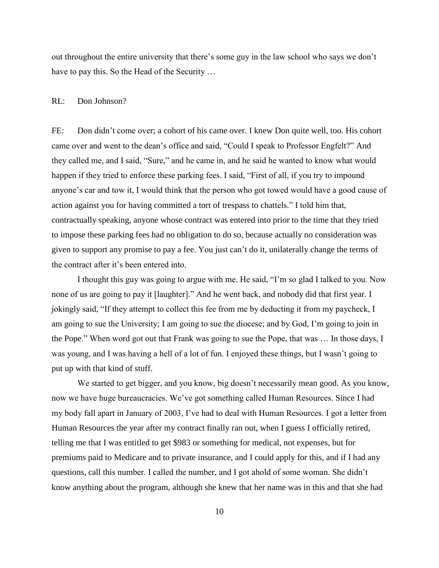out throughout the entire university that there"s some guy in the law school who says we don"t have to pay this. So the Head of the Security …

#### RL: Don Johnson?

FE: Don didn"t come over; a cohort of his came over. I knew Don quite well, too. His cohort came over and went to the dean"s office and said, "Could I speak to Professor Engfelt?" And they called me, and I said, "Sure," and he came in, and he said he wanted to know what would happen if they tried to enforce these parking fees. I said, "First of all, if you try to impound anyone"s car and tow it, I would think that the person who got towed would have a good cause of action against you for having committed a tort of trespass to chattels." I told him that, contractually speaking, anyone whose contract was entered into prior to the time that they tried to impose these parking fees had no obligation to do so, because actually no consideration was given to support any promise to pay a fee. You just can"t do it, unilaterally change the terms of the contract after it's been entered into.

I thought this guy was going to argue with me. He said, "I"m so glad I talked to you. Now none of us are going to pay it [laughter]." And he went back, and nobody did that first year. I jokingly said, "If they attempt to collect this fee from me by deducting it from my paycheck, I am going to sue the University; I am going to sue the diocese; and by God, I"m going to join in the Pope." When word got out that Frank was going to sue the Pope, that was … In those days, I was young, and I was having a hell of a lot of fun. I enjoyed these things, but I wasn"t going to put up with that kind of stuff.

We started to get bigger, and you know, big doesn't necessarily mean good. As you know, now we have huge bureaucracies. We"ve got something called Human Resources. Since I had my body fall apart in January of 2003, I"ve had to deal with Human Resources. I got a letter from Human Resources the year after my contract finally ran out, when I guess I officially retired, telling me that I was entitled to get \$983 or something for medical, not expenses, but for premiums paid to Medicare and to private insurance, and I could apply for this, and if I had any questions, call this number. I called the number, and I got ahold of some woman. She didn"t know anything about the program, although she knew that her name was in this and that she had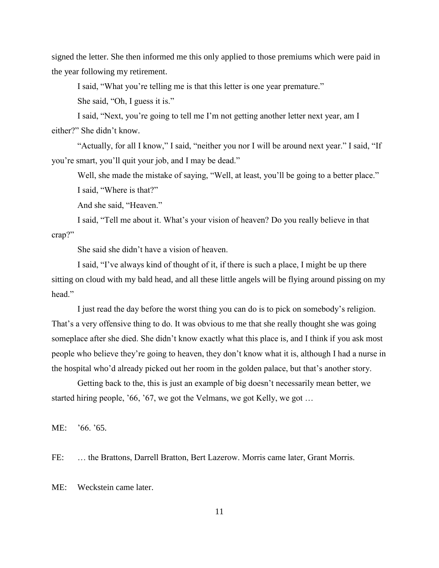signed the letter. She then informed me this only applied to those premiums which were paid in the year following my retirement.

I said, "What you"re telling me is that this letter is one year premature." She said, "Oh, I guess it is."

I said, "Next, you"re going to tell me I"m not getting another letter next year, am I either?" She didn"t know.

"Actually, for all I know," I said, "neither you nor I will be around next year." I said, "If you"re smart, you"ll quit your job, and I may be dead."

Well, she made the mistake of saying, "Well, at least, you'll be going to a better place."

I said, "Where is that?"

And she said, "Heaven."

I said, "Tell me about it. What"s your vision of heaven? Do you really believe in that crap?"

She said she didn"t have a vision of heaven.

I said, "I"ve always kind of thought of it, if there is such a place, I might be up there sitting on cloud with my bald head, and all these little angels will be flying around pissing on my head"

I just read the day before the worst thing you can do is to pick on somebody"s religion. That's a very offensive thing to do. It was obvious to me that she really thought she was going someplace after she died. She didn't know exactly what this place is, and I think if you ask most people who believe they"re going to heaven, they don"t know what it is, although I had a nurse in the hospital who'd already picked out her room in the golden palace, but that's another story.

Getting back to the, this is just an example of big doesn"t necessarily mean better, we started hiring people, '66, '67, we got the Velmans, we got Kelly, we got ...

ME: "66. "65.

FE: … the Brattons, Darrell Bratton, Bert Lazerow. Morris came later, Grant Morris.

ME: Weckstein came later.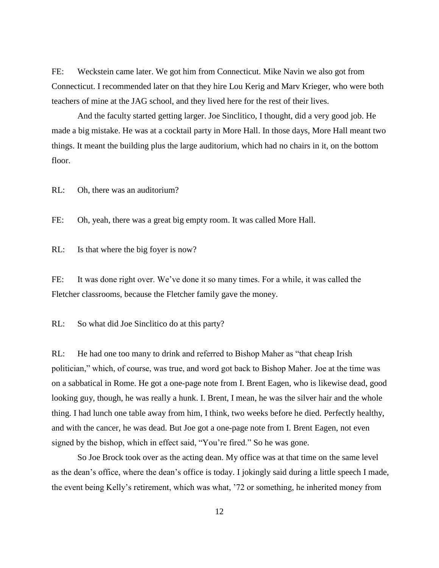FE: Weckstein came later. We got him from Connecticut. Mike Navin we also got from Connecticut. I recommended later on that they hire Lou Kerig and Marv Krieger, who were both teachers of mine at the JAG school, and they lived here for the rest of their lives.

And the faculty started getting larger. Joe Sinclitico, I thought, did a very good job. He made a big mistake. He was at a cocktail party in More Hall. In those days, More Hall meant two things. It meant the building plus the large auditorium, which had no chairs in it, on the bottom floor.

RL: Oh, there was an auditorium?

FE: Oh, yeah, there was a great big empty room. It was called More Hall.

RL: Is that where the big foyer is now?

FE: It was done right over. We've done it so many times. For a while, it was called the Fletcher classrooms, because the Fletcher family gave the money.

RL: So what did Joe Sinclitico do at this party?

RL: He had one too many to drink and referred to Bishop Maher as "that cheap Irish politician," which, of course, was true, and word got back to Bishop Maher. Joe at the time was on a sabbatical in Rome. He got a one-page note from I. Brent Eagen, who is likewise dead, good looking guy, though, he was really a hunk. I. Brent, I mean, he was the silver hair and the whole thing. I had lunch one table away from him, I think, two weeks before he died. Perfectly healthy, and with the cancer, he was dead. But Joe got a one-page note from I. Brent Eagen, not even signed by the bishop, which in effect said, "You"re fired." So he was gone.

So Joe Brock took over as the acting dean. My office was at that time on the same level as the dean"s office, where the dean"s office is today. I jokingly said during a little speech I made, the event being Kelly"s retirement, which was what, "72 or something, he inherited money from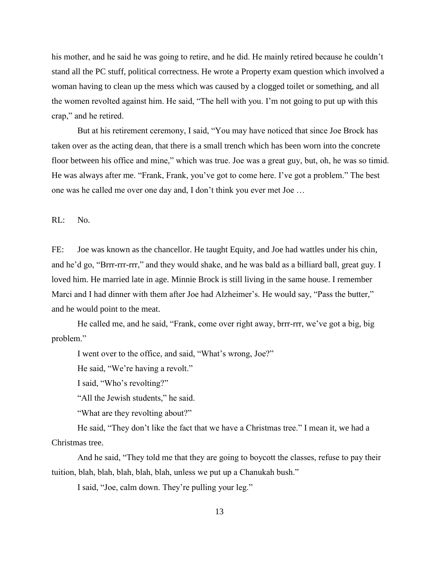his mother, and he said he was going to retire, and he did. He mainly retired because he couldn't stand all the PC stuff, political correctness. He wrote a Property exam question which involved a woman having to clean up the mess which was caused by a clogged toilet or something, and all the women revolted against him. He said, "The hell with you. I"m not going to put up with this crap," and he retired.

But at his retirement ceremony, I said, "You may have noticed that since Joe Brock has taken over as the acting dean, that there is a small trench which has been worn into the concrete floor between his office and mine," which was true. Joe was a great guy, but, oh, he was so timid. He was always after me. "Frank, Frank, you"ve got to come here. I"ve got a problem." The best one was he called me over one day and, I don"t think you ever met Joe …

RL: No.

FE: Joe was known as the chancellor. He taught Equity, and Joe had wattles under his chin, and he"d go, "Brrr-rrr-rrr," and they would shake, and he was bald as a billiard ball, great guy. I loved him. He married late in age. Minnie Brock is still living in the same house. I remember Marci and I had dinner with them after Joe had Alzheimer's. He would say, "Pass the butter," and he would point to the meat.

He called me, and he said, "Frank, come over right away, brrr-rrr, we've got a big, big problem."

I went over to the office, and said, "What"s wrong, Joe?"

He said, "We're having a revolt."

I said, "Who"s revolting?"

"All the Jewish students," he said.

"What are they revolting about?"

He said, "They don"t like the fact that we have a Christmas tree." I mean it, we had a Christmas tree.

And he said, "They told me that they are going to boycott the classes, refuse to pay their tuition, blah, blah, blah, blah, blah, unless we put up a Chanukah bush."

I said, "Joe, calm down. They"re pulling your leg."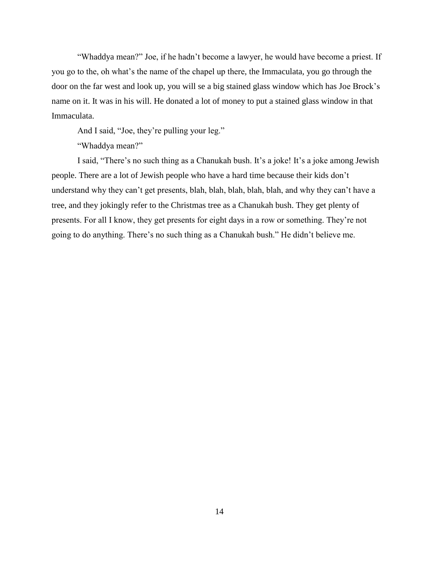"Whaddya mean?" Joe, if he hadn"t become a lawyer, he would have become a priest. If you go to the, oh what"s the name of the chapel up there, the Immaculata, you go through the door on the far west and look up, you will se a big stained glass window which has Joe Brock"s name on it. It was in his will. He donated a lot of money to put a stained glass window in that Immaculata.

And I said, "Joe, they"re pulling your leg."

"Whaddya mean?"

I said, "There's no such thing as a Chanukah bush. It's a joke! It's a joke among Jewish people. There are a lot of Jewish people who have a hard time because their kids don"t understand why they can"t get presents, blah, blah, blah, blah, blah, and why they can"t have a tree, and they jokingly refer to the Christmas tree as a Chanukah bush. They get plenty of presents. For all I know, they get presents for eight days in a row or something. They"re not going to do anything. There"s no such thing as a Chanukah bush." He didn"t believe me.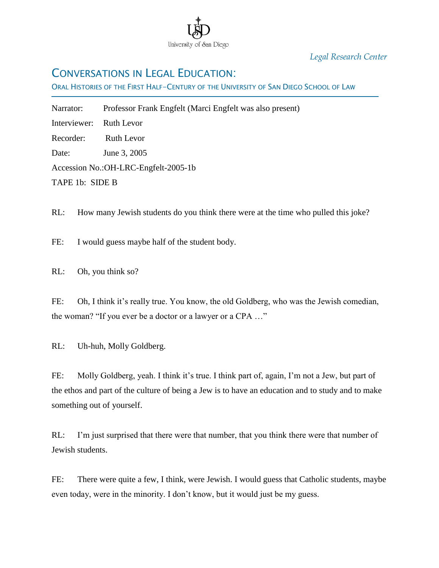

*Legal Research Center*

## CONVERSATIONS IN LEGAL EDUCATION:

ORAL HISTORIES OF THE FIRST HALF-CENTURY OF THE UNIVERSITY OF SAN DIEGO SCHOOL OF LAW

Narrator: Professor Frank Engfelt (Marci Engfelt was also present)

Interviewer: Ruth Levor

Ī

Recorder: Ruth Levor

Date: June 3, 2005

Accession No.:OH-LRC-Engfelt-2005-1b

TAPE 1b: SIDE B

RL: How many Jewish students do you think there were at the time who pulled this joke?

FE: I would guess maybe half of the student body.

RL: Oh, you think so?

FE: Oh, I think it's really true. You know, the old Goldberg, who was the Jewish comedian, the woman? "If you ever be a doctor or a lawyer or a CPA …"

RL: Uh-huh, Molly Goldberg.

FE: Molly Goldberg, yeah. I think it's true. I think part of, again, I'm not a Jew, but part of the ethos and part of the culture of being a Jew is to have an education and to study and to make something out of yourself.

RL: I'm just surprised that there were that number, that you think there were that number of Jewish students.

FE: There were quite a few, I think, were Jewish. I would guess that Catholic students, maybe even today, were in the minority. I don"t know, but it would just be my guess.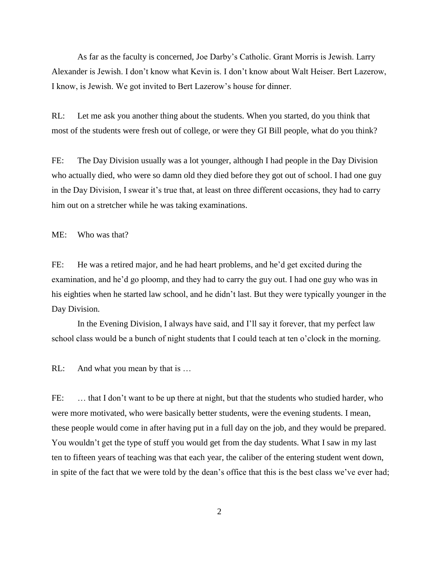As far as the faculty is concerned, Joe Darby"s Catholic. Grant Morris is Jewish. Larry Alexander is Jewish. I don"t know what Kevin is. I don"t know about Walt Heiser. Bert Lazerow, I know, is Jewish. We got invited to Bert Lazerow"s house for dinner.

RL: Let me ask you another thing about the students. When you started, do you think that most of the students were fresh out of college, or were they GI Bill people, what do you think?

FE: The Day Division usually was a lot younger, although I had people in the Day Division who actually died, who were so damn old they died before they got out of school. I had one guy in the Day Division, I swear it's true that, at least on three different occasions, they had to carry him out on a stretcher while he was taking examinations.

ME: Who was that?

FE: He was a retired major, and he had heart problems, and he'd get excited during the examination, and he'd go ploomp, and they had to carry the guy out. I had one guy who was in his eighties when he started law school, and he didn"t last. But they were typically younger in the Day Division.

In the Evening Division, I always have said, and I"ll say it forever, that my perfect law school class would be a bunch of night students that I could teach at ten o"clock in the morning.

RL: And what you mean by that is ...

FE: ... that I don't want to be up there at night, but that the students who studied harder, who were more motivated, who were basically better students, were the evening students. I mean, these people would come in after having put in a full day on the job, and they would be prepared. You wouldn"t get the type of stuff you would get from the day students. What I saw in my last ten to fifteen years of teaching was that each year, the caliber of the entering student went down, in spite of the fact that we were told by the dean"s office that this is the best class we"ve ever had;

2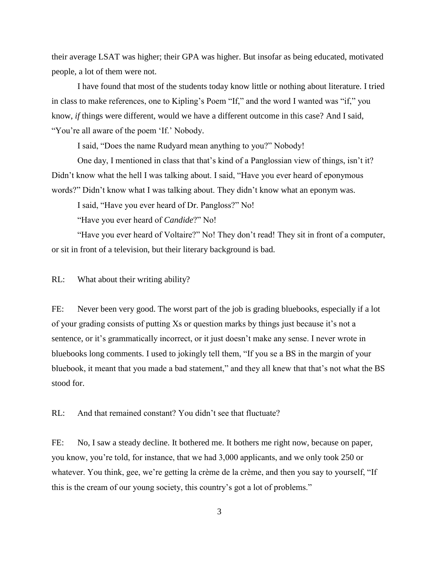their average LSAT was higher; their GPA was higher. But insofar as being educated, motivated people, a lot of them were not.

I have found that most of the students today know little or nothing about literature. I tried in class to make references, one to Kipling's Poem "If," and the word I wanted was "if," you know, *if* things were different, would we have a different outcome in this case? And I said, "You're all aware of the poem 'If.' Nobody.

I said, "Does the name Rudyard mean anything to you?" Nobody!

One day, I mentioned in class that that's kind of a Panglossian view of things, isn't it? Didn't know what the hell I was talking about. I said, "Have you ever heard of eponymous words?" Didn"t know what I was talking about. They didn"t know what an eponym was.

I said, "Have you ever heard of Dr. Pangloss?" No!

"Have you ever heard of *Candide*?" No!

"Have you ever heard of Voltaire?" No! They don"t read! They sit in front of a computer, or sit in front of a television, but their literary background is bad.

RL: What about their writing ability?

FE: Never been very good. The worst part of the job is grading bluebooks, especially if a lot of your grading consists of putting Xs or question marks by things just because it"s not a sentence, or it's grammatically incorrect, or it just doesn't make any sense. I never wrote in bluebooks long comments. I used to jokingly tell them, "If you se a BS in the margin of your bluebook, it meant that you made a bad statement," and they all knew that that's not what the BS stood for.

RL: And that remained constant? You didn't see that fluctuate?

FE: No, I saw a steady decline. It bothered me. It bothers me right now, because on paper, you know, you"re told, for instance, that we had 3,000 applicants, and we only took 250 or whatever. You think, gee, we're getting la crème de la crème, and then you say to yourself, "If this is the cream of our young society, this country"s got a lot of problems."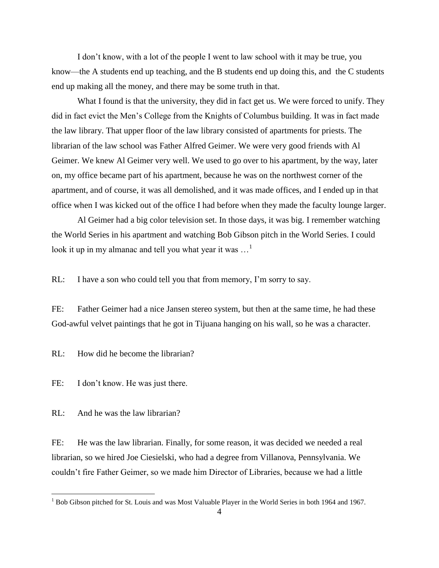I don"t know, with a lot of the people I went to law school with it may be true, you know—the A students end up teaching, and the B students end up doing this, and the C students end up making all the money, and there may be some truth in that.

What I found is that the university, they did in fact get us. We were forced to unify. They did in fact evict the Men"s College from the Knights of Columbus building. It was in fact made the law library. That upper floor of the law library consisted of apartments for priests. The librarian of the law school was Father Alfred Geimer. We were very good friends with Al Geimer. We knew Al Geimer very well. We used to go over to his apartment, by the way, later on, my office became part of his apartment, because he was on the northwest corner of the apartment, and of course, it was all demolished, and it was made offices, and I ended up in that office when I was kicked out of the office I had before when they made the faculty lounge larger.

Al Geimer had a big color television set. In those days, it was big. I remember watching the World Series in his apartment and watching Bob Gibson pitch in the World Series. I could look it up in my almanac and tell you what year it was  $\dots$ <sup>1</sup>

RL: I have a son who could tell you that from memory, I'm sorry to say.

FE: Father Geimer had a nice Jansen stereo system, but then at the same time, he had these God-awful velvet paintings that he got in Tijuana hanging on his wall, so he was a character.

RL: How did he become the librarian?

FE: I don't know. He was just there.

RL: And he was the law librarian?

 $\overline{a}$ 

FE: He was the law librarian. Finally, for some reason, it was decided we needed a real librarian, so we hired Joe Ciesielski, who had a degree from Villanova, Pennsylvania. We couldn"t fire Father Geimer, so we made him Director of Libraries, because we had a little

 $1$  Bob Gibson pitched for St. Louis and was Most Valuable Player in the World Series in both 1964 and 1967.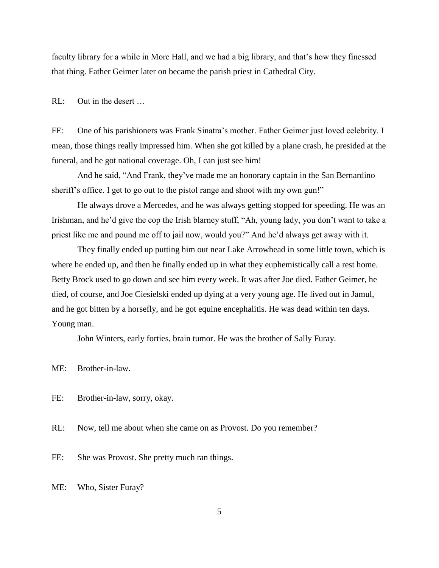faculty library for a while in More Hall, and we had a big library, and that's how they finessed that thing. Father Geimer later on became the parish priest in Cathedral City.

RL: Out in the desert …

FE: One of his parishioners was Frank Sinatra"s mother. Father Geimer just loved celebrity. I mean, those things really impressed him. When she got killed by a plane crash, he presided at the funeral, and he got national coverage. Oh, I can just see him!

And he said, "And Frank, they"ve made me an honorary captain in the San Bernardino sheriff's office. I get to go out to the pistol range and shoot with my own gun!"

He always drove a Mercedes, and he was always getting stopped for speeding. He was an Irishman, and he'd give the cop the Irish blarney stuff, "Ah, young lady, you don't want to take a priest like me and pound me off to jail now, would you?" And he"d always get away with it.

They finally ended up putting him out near Lake Arrowhead in some little town, which is where he ended up, and then he finally ended up in what they euphemistically call a rest home. Betty Brock used to go down and see him every week. It was after Joe died. Father Geimer, he died, of course, and Joe Ciesielski ended up dying at a very young age. He lived out in Jamul, and he got bitten by a horsefly, and he got equine encephalitis. He was dead within ten days. Young man.

John Winters, early forties, brain tumor. He was the brother of Sally Furay.

ME: Brother-in-law.

FE: Brother-in-law, sorry, okay.

RL: Now, tell me about when she came on as Provost. Do you remember?

FE: She was Provost. She pretty much ran things.

ME: Who, Sister Furay?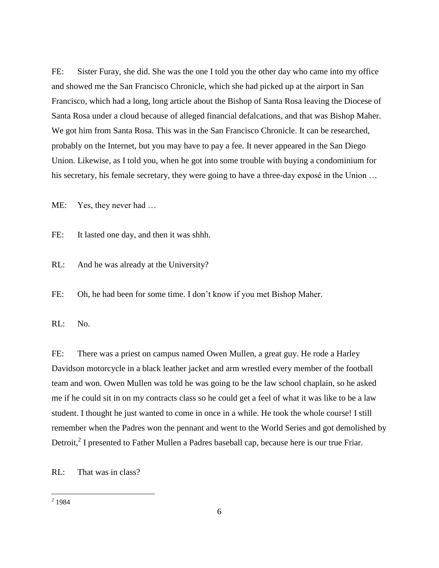FE: Sister Furay, she did. She was the one I told you the other day who came into my office and showed me the San Francisco Chronicle, which she had picked up at the airport in San Francisco, which had a long, long article about the Bishop of Santa Rosa leaving the Diocese of Santa Rosa under a cloud because of alleged financial defalcations, and that was Bishop Maher. We got him from Santa Rosa. This was in the San Francisco Chronicle. It can be researched, probably on the Internet, but you may have to pay a fee. It never appeared in the San Diego Union. Likewise, as I told you, when he got into some trouble with buying a condominium for his secretary, his female secretary, they were going to have a three-day exposé in the Union ...

ME: Yes, they never had …

FE: It lasted one day, and then it was shhh.

RL: And he was already at the University?

FE: Oh, he had been for some time. I don"t know if you met Bishop Maher.

RL: No.

FE: There was a priest on campus named Owen Mullen, a great guy. He rode a Harley Davidson motorcycle in a black leather jacket and arm wrestled every member of the football team and won. Owen Mullen was told he was going to be the law school chaplain, so he asked me if he could sit in on my contracts class so he could get a feel of what it was like to be a law student. I thought he just wanted to come in once in a while. He took the whole course! I still remember when the Padres won the pennant and went to the World Series and got demolished by Detroit,<sup>2</sup> I presented to Father Mullen a Padres baseball cap, because here is our true Friar.

RL: That was in class?

 $\frac{1}{2}$  1984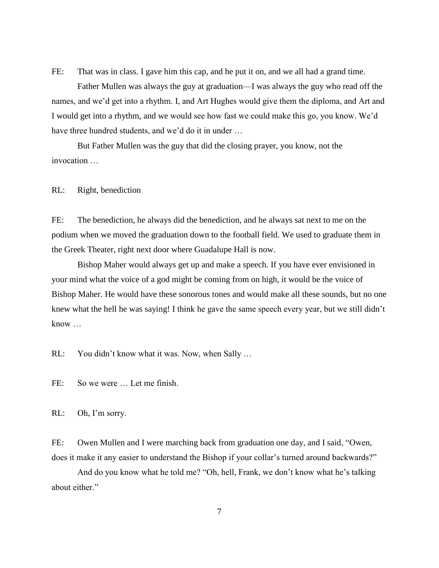FE: That was in class. I gave him this cap, and he put it on, and we all had a grand time.

Father Mullen was always the guy at graduation—I was always the guy who read off the names, and we"d get into a rhythm. I, and Art Hughes would give them the diploma, and Art and I would get into a rhythm, and we would see how fast we could make this go, you know. We"d have three hundred students, and we'd do it in under ...

But Father Mullen was the guy that did the closing prayer, you know, not the invocation …

RL: Right, benediction

FE: The benediction, he always did the benediction, and he always sat next to me on the podium when we moved the graduation down to the football field. We used to graduate them in the Greek Theater, right next door where Guadalupe Hall is now.

Bishop Maher would always get up and make a speech. If you have ever envisioned in your mind what the voice of a god might be coming from on high, it would be the voice of Bishop Maher. He would have these sonorous tones and would make all these sounds, but no one knew what the hell he was saying! I think he gave the same speech every year, but we still didn"t know …

RL: You didn"t know what it was. Now, when Sally …

FE: So we were … Let me finish.

RL: Oh, I'm sorry.

FE: Owen Mullen and I were marching back from graduation one day, and I said, "Owen, does it make it any easier to understand the Bishop if your collar's turned around backwards?"

And do you know what he told me? "Oh, hell, Frank, we don't know what he's talking about either."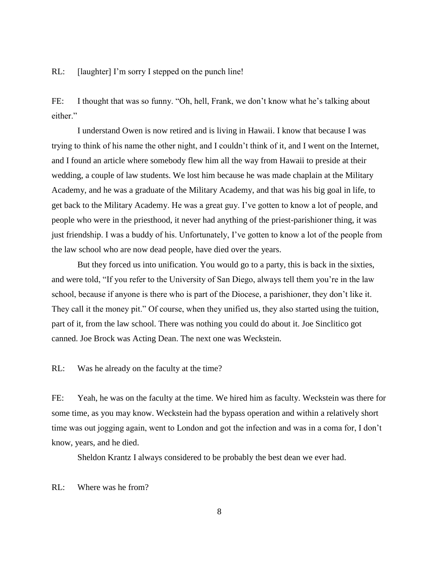RL: [laughter] I'm sorry I stepped on the punch line!

FE: I thought that was so funny. "Oh, hell, Frank, we don't know what he's talking about either."

I understand Owen is now retired and is living in Hawaii. I know that because I was trying to think of his name the other night, and I couldn"t think of it, and I went on the Internet, and I found an article where somebody flew him all the way from Hawaii to preside at their wedding, a couple of law students. We lost him because he was made chaplain at the Military Academy, and he was a graduate of the Military Academy, and that was his big goal in life, to get back to the Military Academy. He was a great guy. I"ve gotten to know a lot of people, and people who were in the priesthood, it never had anything of the priest-parishioner thing, it was just friendship. I was a buddy of his. Unfortunately, I've gotten to know a lot of the people from the law school who are now dead people, have died over the years.

But they forced us into unification. You would go to a party, this is back in the sixties, and were told, "If you refer to the University of San Diego, always tell them you"re in the law school, because if anyone is there who is part of the Diocese, a parishioner, they don"t like it. They call it the money pit." Of course, when they unified us, they also started using the tuition, part of it, from the law school. There was nothing you could do about it. Joe Sinclitico got canned. Joe Brock was Acting Dean. The next one was Weckstein.

RL: Was he already on the faculty at the time?

FE: Yeah, he was on the faculty at the time. We hired him as faculty. Weckstein was there for some time, as you may know. Weckstein had the bypass operation and within a relatively short time was out jogging again, went to London and got the infection and was in a coma for, I don"t know, years, and he died.

Sheldon Krantz I always considered to be probably the best dean we ever had.

RL: Where was he from?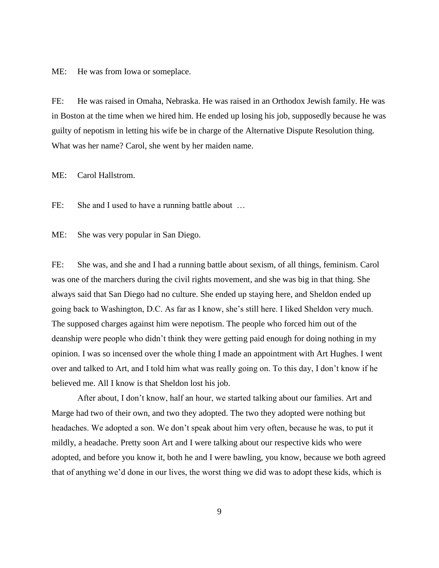ME: He was from Iowa or someplace.

FE: He was raised in Omaha, Nebraska. He was raised in an Orthodox Jewish family. He was in Boston at the time when we hired him. He ended up losing his job, supposedly because he was guilty of nepotism in letting his wife be in charge of the Alternative Dispute Resolution thing. What was her name? Carol, she went by her maiden name.

ME: Carol Hallstrom.

FE: She and I used to have a running battle about ...

ME: She was very popular in San Diego.

FE: She was, and she and I had a running battle about sexism, of all things, feminism. Carol was one of the marchers during the civil rights movement, and she was big in that thing. She always said that San Diego had no culture. She ended up staying here, and Sheldon ended up going back to Washington, D.C. As far as I know, she"s still here. I liked Sheldon very much. The supposed charges against him were nepotism. The people who forced him out of the deanship were people who didn"t think they were getting paid enough for doing nothing in my opinion. I was so incensed over the whole thing I made an appointment with Art Hughes. I went over and talked to Art, and I told him what was really going on. To this day, I don"t know if he believed me. All I know is that Sheldon lost his job.

After about, I don"t know, half an hour, we started talking about our families. Art and Marge had two of their own, and two they adopted. The two they adopted were nothing but headaches. We adopted a son. We don"t speak about him very often, because he was, to put it mildly, a headache. Pretty soon Art and I were talking about our respective kids who were adopted, and before you know it, both he and I were bawling, you know, because we both agreed that of anything we"d done in our lives, the worst thing we did was to adopt these kids, which is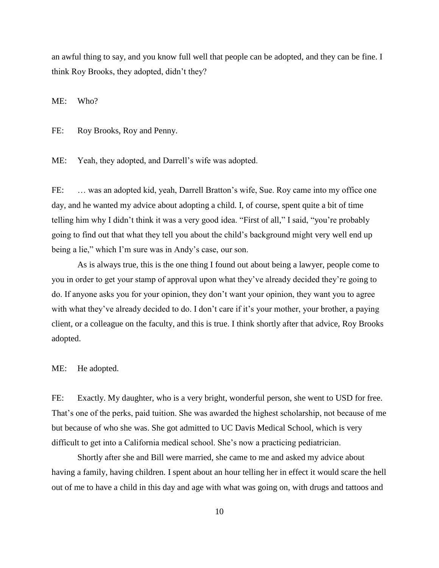an awful thing to say, and you know full well that people can be adopted, and they can be fine. I think Roy Brooks, they adopted, didn"t they?

ME: Who?

FE: Roy Brooks, Roy and Penny.

ME: Yeah, they adopted, and Darrell's wife was adopted.

FE: ... was an adopted kid, yeah, Darrell Bratton's wife, Sue. Roy came into my office one day, and he wanted my advice about adopting a child. I, of course, spent quite a bit of time telling him why I didn"t think it was a very good idea. "First of all," I said, "you"re probably going to find out that what they tell you about the child"s background might very well end up being a lie," which I'm sure was in Andy's case, our son.

As is always true, this is the one thing I found out about being a lawyer, people come to you in order to get your stamp of approval upon what they"ve already decided they"re going to do. If anyone asks you for your opinion, they don"t want your opinion, they want you to agree with what they've already decided to do. I don't care if it's your mother, your brother, a paying client, or a colleague on the faculty, and this is true. I think shortly after that advice, Roy Brooks adopted.

ME: He adopted.

FE: Exactly. My daughter, who is a very bright, wonderful person, she went to USD for free. That's one of the perks, paid tuition. She was awarded the highest scholarship, not because of me but because of who she was. She got admitted to UC Davis Medical School, which is very difficult to get into a California medical school. She"s now a practicing pediatrician.

Shortly after she and Bill were married, she came to me and asked my advice about having a family, having children. I spent about an hour telling her in effect it would scare the hell out of me to have a child in this day and age with what was going on, with drugs and tattoos and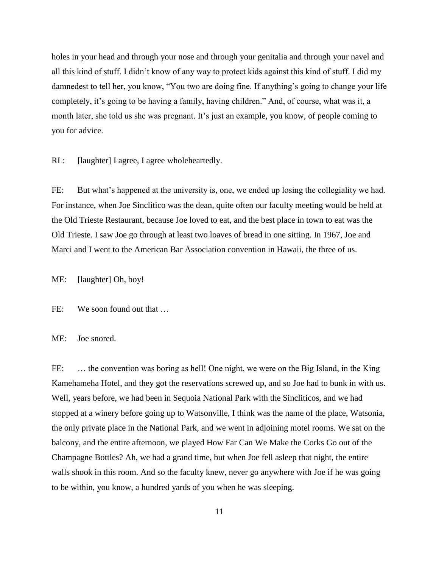holes in your head and through your nose and through your genitalia and through your navel and all this kind of stuff. I didn"t know of any way to protect kids against this kind of stuff. I did my damnedest to tell her, you know, "You two are doing fine. If anything's going to change your life completely, it's going to be having a family, having children." And, of course, what was it, a month later, she told us she was pregnant. It's just an example, you know, of people coming to you for advice.

RL: [laughter] I agree, I agree wholeheartedly.

FE: But what's happened at the university is, one, we ended up losing the collegiality we had. For instance, when Joe Sinclitico was the dean, quite often our faculty meeting would be held at the Old Trieste Restaurant, because Joe loved to eat, and the best place in town to eat was the Old Trieste. I saw Joe go through at least two loaves of bread in one sitting. In 1967, Joe and Marci and I went to the American Bar Association convention in Hawaii, the three of us.

ME: [laughter] Oh, boy!

FE: We soon found out that ...

ME: Joe snored.

FE: ... the convention was boring as hell! One night, we were on the Big Island, in the King Kamehameha Hotel, and they got the reservations screwed up, and so Joe had to bunk in with us. Well, years before, we had been in Sequoia National Park with the Sincliticos, and we had stopped at a winery before going up to Watsonville, I think was the name of the place, Watsonia, the only private place in the National Park, and we went in adjoining motel rooms. We sat on the balcony, and the entire afternoon, we played How Far Can We Make the Corks Go out of the Champagne Bottles? Ah, we had a grand time, but when Joe fell asleep that night, the entire walls shook in this room. And so the faculty knew, never go anywhere with Joe if he was going to be within, you know, a hundred yards of you when he was sleeping.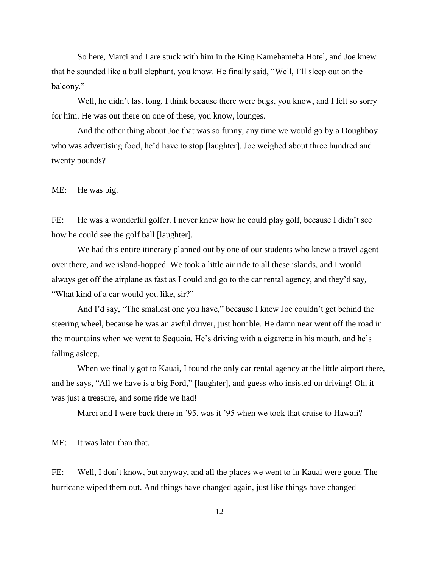So here, Marci and I are stuck with him in the King Kamehameha Hotel, and Joe knew that he sounded like a bull elephant, you know. He finally said, "Well, I"ll sleep out on the balcony."

Well, he didn't last long, I think because there were bugs, you know, and I felt so sorry for him. He was out there on one of these, you know, lounges.

And the other thing about Joe that was so funny, any time we would go by a Doughboy who was advertising food, he"d have to stop [laughter]. Joe weighed about three hundred and twenty pounds?

ME: He was big.

FE: He was a wonderful golfer. I never knew how he could play golf, because I didn't see how he could see the golf ball [laughter].

We had this entire itinerary planned out by one of our students who knew a travel agent over there, and we island-hopped. We took a little air ride to all these islands, and I would always get off the airplane as fast as I could and go to the car rental agency, and they"d say, "What kind of a car would you like, sir?"

And I'd say, "The smallest one you have," because I knew Joe couldn't get behind the steering wheel, because he was an awful driver, just horrible. He damn near went off the road in the mountains when we went to Sequoia. He's driving with a cigarette in his mouth, and he's falling asleep.

When we finally got to Kauai, I found the only car rental agency at the little airport there, and he says, "All we have is a big Ford," [laughter], and guess who insisted on driving! Oh, it was just a treasure, and some ride we had!

Marci and I were back there in '95, was it '95 when we took that cruise to Hawaii?

ME: It was later than that.

FE: Well, I don"t know, but anyway, and all the places we went to in Kauai were gone. The hurricane wiped them out. And things have changed again, just like things have changed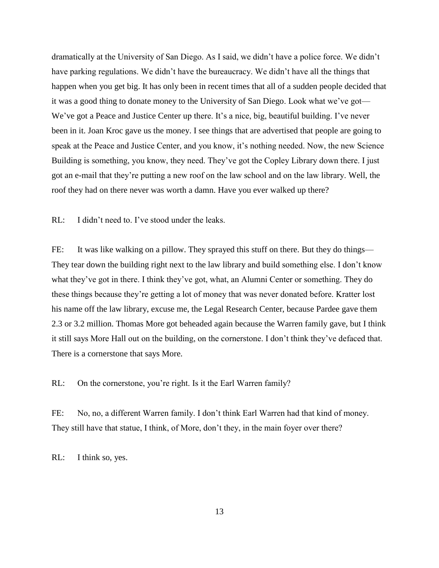dramatically at the University of San Diego. As I said, we didn"t have a police force. We didn"t have parking regulations. We didn"t have the bureaucracy. We didn"t have all the things that happen when you get big. It has only been in recent times that all of a sudden people decided that it was a good thing to donate money to the University of San Diego. Look what we"ve got— We've got a Peace and Justice Center up there. It's a nice, big, beautiful building. I've never been in it. Joan Kroc gave us the money. I see things that are advertised that people are going to speak at the Peace and Justice Center, and you know, it's nothing needed. Now, the new Science Building is something, you know, they need. They"ve got the Copley Library down there. I just got an e-mail that they"re putting a new roof on the law school and on the law library. Well, the roof they had on there never was worth a damn. Have you ever walked up there?

RL: I didn't need to. I've stood under the leaks.

FE: It was like walking on a pillow. They sprayed this stuff on there. But they do things— They tear down the building right next to the law library and build something else. I don"t know what they"ve got in there. I think they"ve got, what, an Alumni Center or something. They do these things because they"re getting a lot of money that was never donated before. Kratter lost his name off the law library, excuse me, the Legal Research Center, because Pardee gave them 2.3 or 3.2 million. Thomas More got beheaded again because the Warren family gave, but I think it still says More Hall out on the building, on the cornerstone. I don"t think they"ve defaced that. There is a cornerstone that says More.

RL: On the cornerstone, you're right. Is it the Earl Warren family?

FE: No, no, a different Warren family. I don't think Earl Warren had that kind of money. They still have that statue, I think, of More, don"t they, in the main foyer over there?

RL: I think so, yes.